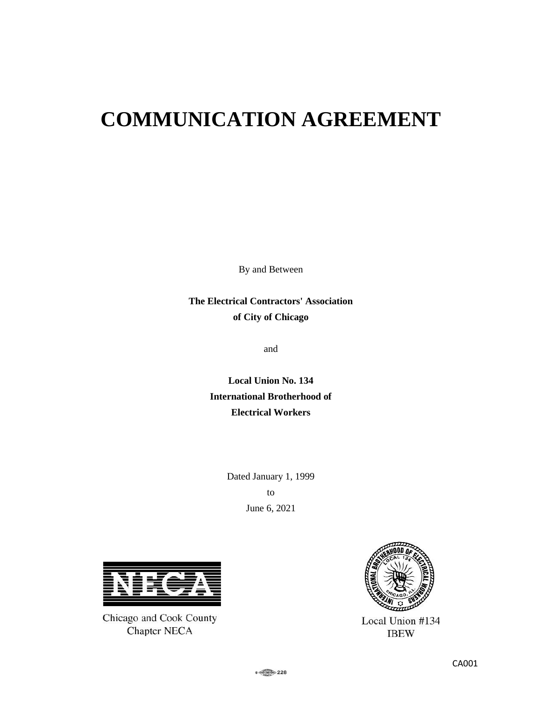# **COMMUNICATION AGREEMENT**

By and Between

**The Electrical Contractors' Association of City of Chicago**

and

**Local Union No. 134 International Brotherhood of Electrical Workers**

> Dated January 1, 1999 to June 6, 2021



Chicago and Cook County **Chapter NECA** 



Local Union #134 **IBEW**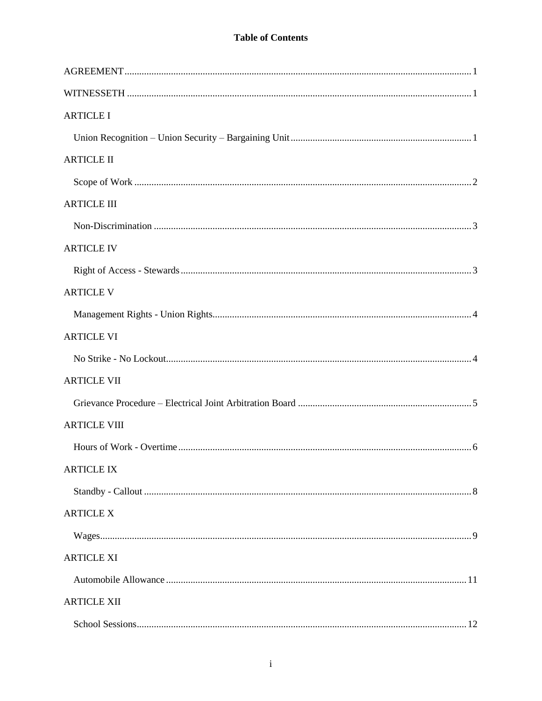### **Table of Contents**

| <b>ARTICLE I</b>    |
|---------------------|
|                     |
| <b>ARTICLE II</b>   |
|                     |
| <b>ARTICLE III</b>  |
|                     |
| <b>ARTICLE IV</b>   |
|                     |
| <b>ARTICLE V</b>    |
|                     |
| <b>ARTICLE VI</b>   |
|                     |
|                     |
| <b>ARTICLE VII</b>  |
|                     |
| <b>ARTICLE VIII</b> |
|                     |
| <b>ARTICLE IX</b>   |
|                     |
| <b>ARTICLE X</b>    |
|                     |
| <b>ARTICLE XI</b>   |
|                     |
| <b>ARTICLE XII</b>  |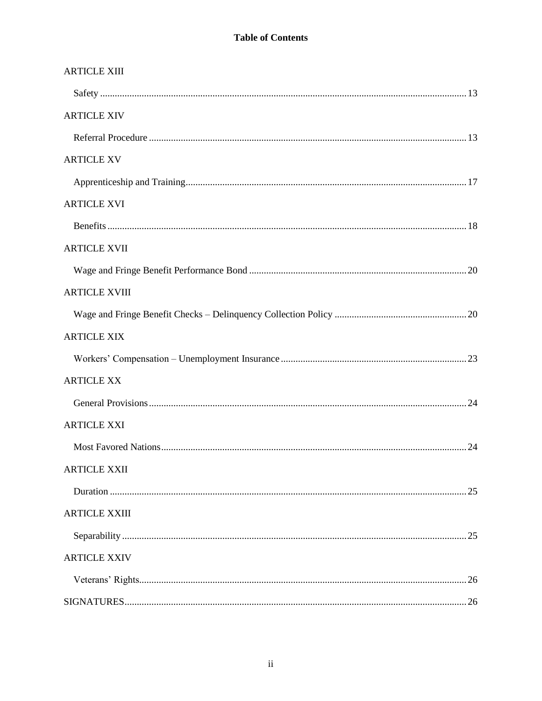| <b>ARTICLE XIII</b>  |    |
|----------------------|----|
|                      |    |
| <b>ARTICLE XIV</b>   |    |
|                      |    |
| <b>ARTICLE XV</b>    |    |
|                      |    |
| <b>ARTICLE XVI</b>   |    |
|                      |    |
| <b>ARTICLE XVII</b>  |    |
|                      |    |
| <b>ARTICLE XVIII</b> |    |
|                      |    |
| <b>ARTICLE XIX</b>   |    |
|                      |    |
| <b>ARTICLE XX</b>    |    |
|                      |    |
| <b>ARTICLE XXI</b>   |    |
|                      |    |
| <b>ARTICLE XXII</b>  |    |
|                      | 25 |
| <b>ARTICLE XXIII</b> |    |
|                      |    |
| <b>ARTICLE XXIV</b>  |    |
|                      |    |
|                      |    |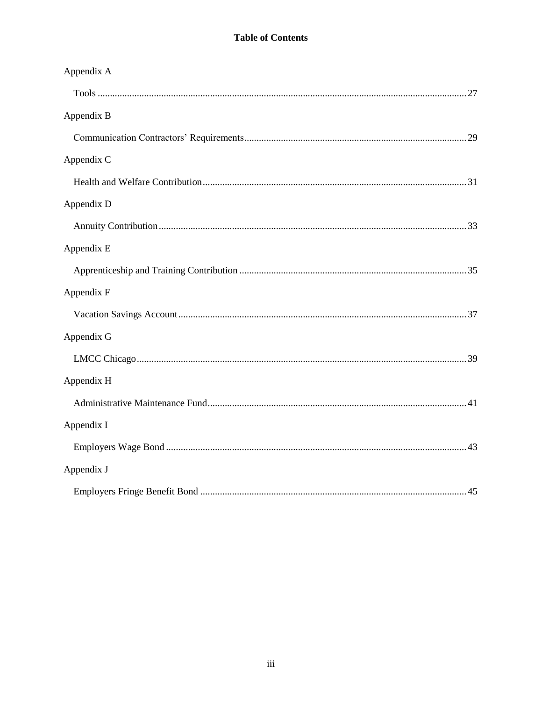## **Table of Contents**

| Appendix A |
|------------|
|            |
| Appendix B |
|            |
| Appendix C |
|            |
| Appendix D |
|            |
| Appendix E |
|            |
| Appendix F |
|            |
| Appendix G |
|            |
| Appendix H |
|            |
| Appendix I |
|            |
| Appendix J |
|            |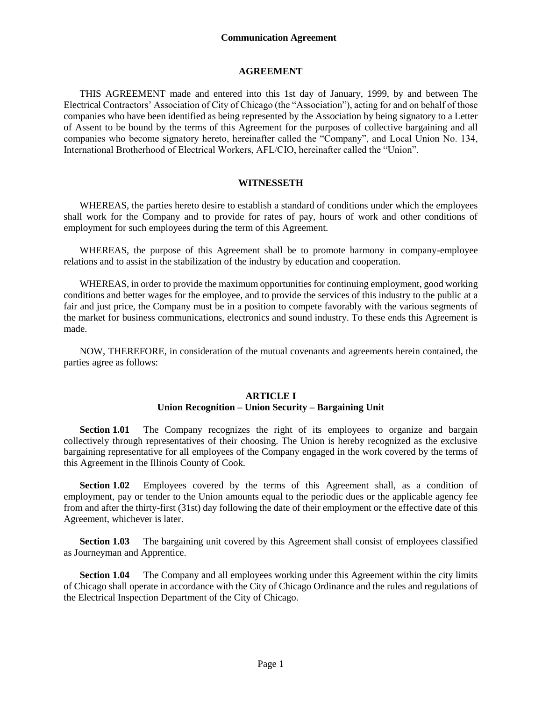#### **AGREEMENT**

<span id="page-5-0"></span>THIS AGREEMENT made and entered into this 1st day of January, 1999, by and between The Electrical Contractors' Association of City of Chicago (the "Association"), acting for and on behalf of those companies who have been identified as being represented by the Association by being signatory to a Letter of Assent to be bound by the terms of this Agreement for the purposes of collective bargaining and all companies who become signatory hereto, hereinafter called the "Company", and Local Union No. 134, International Brotherhood of Electrical Workers, AFL/CIO, hereinafter called the "Union".

#### **WITNESSETH**

<span id="page-5-1"></span>WHEREAS, the parties hereto desire to establish a standard of conditions under which the employees shall work for the Company and to provide for rates of pay, hours of work and other conditions of employment for such employees during the term of this Agreement.

WHEREAS, the purpose of this Agreement shall be to promote harmony in company-employee relations and to assist in the stabilization of the industry by education and cooperation.

WHEREAS, in order to provide the maximum opportunities for continuing employment, good working conditions and better wages for the employee, and to provide the services of this industry to the public at a fair and just price, the Company must be in a position to compete favorably with the various segments of the market for business communications, electronics and sound industry. To these ends this Agreement is made.

NOW, THEREFORE, in consideration of the mutual covenants and agreements herein contained, the parties agree as follows:

#### **ARTICLE I Union Recognition – Union Security – Bargaining Unit**

<span id="page-5-3"></span><span id="page-5-2"></span>**Section 1.01** The Company recognizes the right of its employees to organize and bargain collectively through representatives of their choosing. The Union is hereby recognized as the exclusive bargaining representative for all employees of the Company engaged in the work covered by the terms of this Agreement in the Illinois County of Cook.

**Section 1.02** Employees covered by the terms of this Agreement shall, as a condition of employment, pay or tender to the Union amounts equal to the periodic dues or the applicable agency fee from and after the thirty-first (31st) day following the date of their employment or the effective date of this Agreement, whichever is later.

**Section 1.03** The bargaining unit covered by this Agreement shall consist of employees classified as Journeyman and Apprentice.

**Section 1.04** The Company and all employees working under this Agreement within the city limits of Chicago shall operate in accordance with the City of Chicago Ordinance and the rules and regulations of the Electrical Inspection Department of the City of Chicago.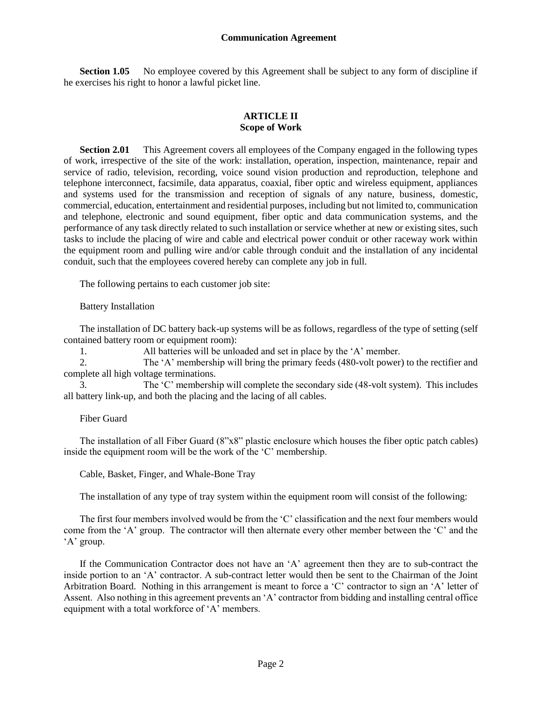**Section 1.05** No employee covered by this Agreement shall be subject to any form of discipline if he exercises his right to honor a lawful picket line.

#### **ARTICLE II Scope of Work**

<span id="page-6-1"></span><span id="page-6-0"></span>**Section 2.01** This Agreement covers all employees of the Company engaged in the following types of work, irrespective of the site of the work: installation, operation, inspection, maintenance, repair and service of radio, television, recording, voice sound vision production and reproduction, telephone and telephone interconnect, facsimile, data apparatus, coaxial, fiber optic and wireless equipment, appliances and systems used for the transmission and reception of signals of any nature, business, domestic, commercial, education, entertainment and residential purposes, including but not limited to, communication and telephone, electronic and sound equipment, fiber optic and data communication systems, and the performance of any task directly related to such installation or service whether at new or existing sites, such tasks to include the placing of wire and cable and electrical power conduit or other raceway work within the equipment room and pulling wire and/or cable through conduit and the installation of any incidental conduit, such that the employees covered hereby can complete any job in full.

The following pertains to each customer job site:

#### Battery Installation

The installation of DC battery back-up systems will be as follows, regardless of the type of setting (self contained battery room or equipment room):

1. All batteries will be unloaded and set in place by the 'A' member.

2. The 'A' membership will bring the primary feeds (480-volt power) to the rectifier and complete all high voltage terminations.

3. The 'C' membership will complete the secondary side (48-volt system). This includes all battery link-up, and both the placing and the lacing of all cables.

#### Fiber Guard

The installation of all Fiber Guard (8"x8" plastic enclosure which houses the fiber optic patch cables) inside the equipment room will be the work of the 'C' membership.

Cable, Basket, Finger, and Whale-Bone Tray

The installation of any type of tray system within the equipment room will consist of the following:

The first four members involved would be from the 'C' classification and the next four members would come from the 'A' group. The contractor will then alternate every other member between the 'C' and the 'A' group.

If the Communication Contractor does not have an 'A' agreement then they are to sub-contract the inside portion to an 'A' contractor. A sub-contract letter would then be sent to the Chairman of the Joint Arbitration Board. Nothing in this arrangement is meant to force a 'C' contractor to sign an 'A' letter of Assent. Also nothing in this agreement prevents an 'A' contractor from bidding and installing central office equipment with a total workforce of 'A' members.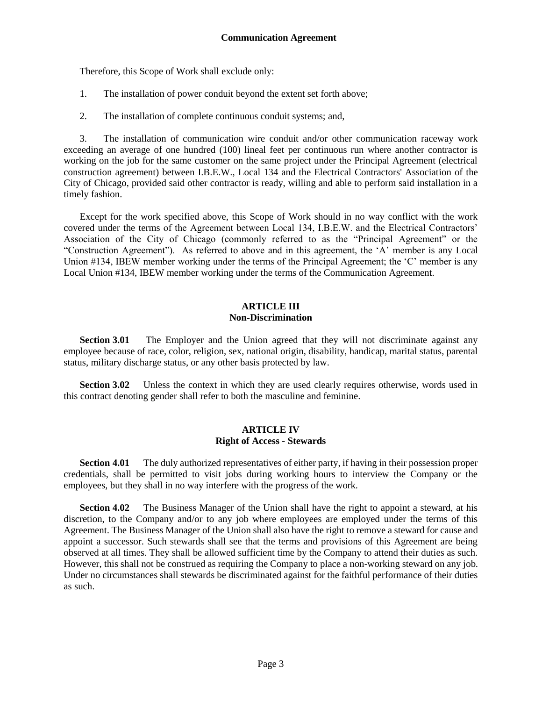Therefore, this Scope of Work shall exclude only:

- 1. The installation of power conduit beyond the extent set forth above;
- 2. The installation of complete continuous conduit systems; and,

3. The installation of communication wire conduit and/or other communication raceway work exceeding an average of one hundred (100) lineal feet per continuous run where another contractor is working on the job for the same customer on the same project under the Principal Agreement (electrical construction agreement) between I.B.E.W., Local 134 and the Electrical Contractors' Association of the City of Chicago, provided said other contractor is ready, willing and able to perform said installation in a timely fashion.

Except for the work specified above, this Scope of Work should in no way conflict with the work covered under the terms of the Agreement between Local 134, I.B.E.W. and the Electrical Contractors' Association of the City of Chicago (commonly referred to as the "Principal Agreement" or the "Construction Agreement"). As referred to above and in this agreement, the 'A' member is any Local Union #134, IBEW member working under the terms of the Principal Agreement; the 'C' member is any Local Union #134, IBEW member working under the terms of the Communication Agreement.

#### **ARTICLE III Non-Discrimination**

<span id="page-7-1"></span><span id="page-7-0"></span>**Section 3.01** The Employer and the Union agreed that they will not discriminate against any employee because of race, color, religion, sex, national origin, disability, handicap, marital status, parental status, military discharge status, or any other basis protected by law.

**Section 3.02** Unless the context in which they are used clearly requires otherwise, words used in this contract denoting gender shall refer to both the masculine and feminine.

#### **ARTICLE IV Right of Access - Stewards**

<span id="page-7-3"></span><span id="page-7-2"></span>**Section 4.01** The duly authorized representatives of either party, if having in their possession proper credentials, shall be permitted to visit jobs during working hours to interview the Company or the employees, but they shall in no way interfere with the progress of the work.

**Section 4.02** The Business Manager of the Union shall have the right to appoint a steward, at his discretion, to the Company and/or to any job where employees are employed under the terms of this Agreement. The Business Manager of the Union shall also have the right to remove a steward for cause and appoint a successor. Such stewards shall see that the terms and provisions of this Agreement are being observed at all times. They shall be allowed sufficient time by the Company to attend their duties as such. However, this shall not be construed as requiring the Company to place a non-working steward on any job. Under no circumstances shall stewards be discriminated against for the faithful performance of their duties as such.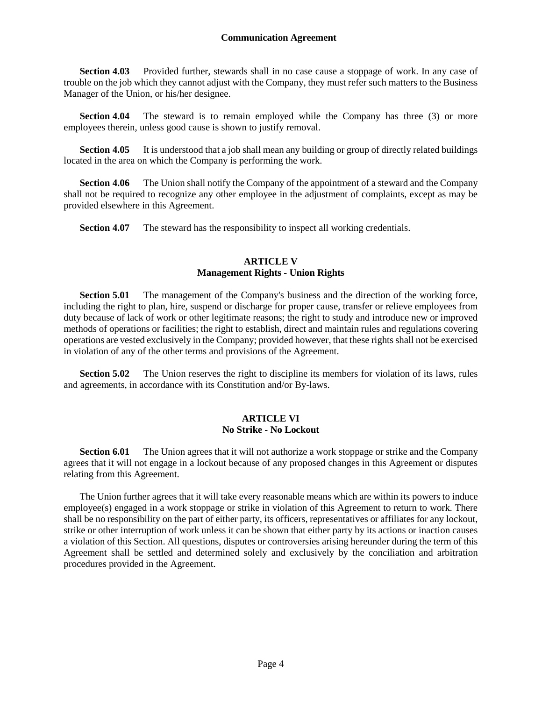**Section 4.03** Provided further, stewards shall in no case cause a stoppage of work. In any case of trouble on the job which they cannot adjust with the Company, they must refer such matters to the Business Manager of the Union, or his/her designee.

**Section 4.04** The steward is to remain employed while the Company has three (3) or more employees therein, unless good cause is shown to justify removal.

**Section 4.05** It is understood that a job shall mean any building or group of directly related buildings located in the area on which the Company is performing the work.

**Section 4.06** The Union shall notify the Company of the appointment of a steward and the Company shall not be required to recognize any other employee in the adjustment of complaints, except as may be provided elsewhere in this Agreement.

**Section 4.07** The steward has the responsibility to inspect all working credentials.

#### **ARTICLE V Management Rights - Union Rights**

<span id="page-8-1"></span><span id="page-8-0"></span>**Section 5.01** The management of the Company's business and the direction of the working force, including the right to plan, hire, suspend or discharge for proper cause, transfer or relieve employees from duty because of lack of work or other legitimate reasons; the right to study and introduce new or improved methods of operations or facilities; the right to establish, direct and maintain rules and regulations covering operations are vested exclusively in the Company; provided however, that these rights shall not be exercised in violation of any of the other terms and provisions of the Agreement.

**Section 5.02** The Union reserves the right to discipline its members for violation of its laws, rules and agreements, in accordance with its Constitution and/or By-laws.

#### **ARTICLE VI No Strike - No Lockout**

<span id="page-8-3"></span><span id="page-8-2"></span>**Section 6.01** The Union agrees that it will not authorize a work stoppage or strike and the Company agrees that it will not engage in a lockout because of any proposed changes in this Agreement or disputes relating from this Agreement.

The Union further agrees that it will take every reasonable means which are within its powers to induce employee(s) engaged in a work stoppage or strike in violation of this Agreement to return to work. There shall be no responsibility on the part of either party, its officers, representatives or affiliates for any lockout, strike or other interruption of work unless it can be shown that either party by its actions or inaction causes a violation of this Section. All questions, disputes or controversies arising hereunder during the term of this Agreement shall be settled and determined solely and exclusively by the conciliation and arbitration procedures provided in the Agreement.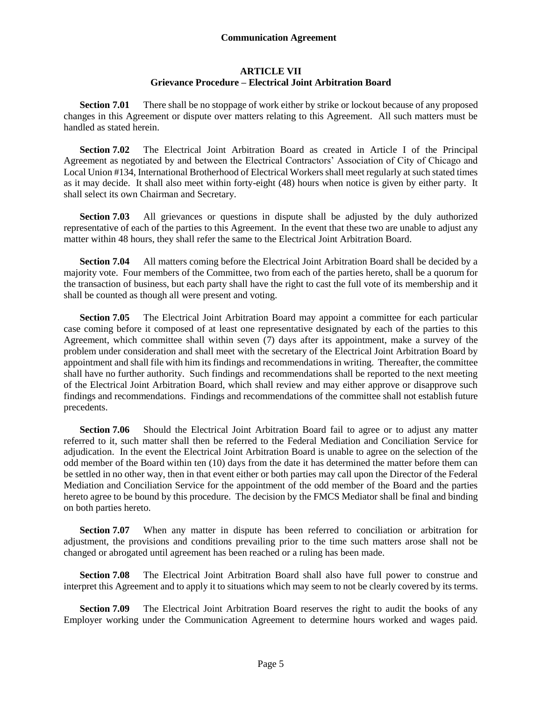#### **ARTICLE VII Grievance Procedure – Electrical Joint Arbitration Board**

<span id="page-9-1"></span><span id="page-9-0"></span>**Section 7.01** There shall be no stoppage of work either by strike or lockout because of any proposed changes in this Agreement or dispute over matters relating to this Agreement. All such matters must be handled as stated herein.

**Section 7.02** The Electrical Joint Arbitration Board as created in Article I of the Principal Agreement as negotiated by and between the Electrical Contractors' Association of City of Chicago and Local Union #134, International Brotherhood of Electrical Workers shall meet regularly at such stated times as it may decide. It shall also meet within forty-eight (48) hours when notice is given by either party. It shall select its own Chairman and Secretary.

**Section 7.03** All grievances or questions in dispute shall be adjusted by the duly authorized representative of each of the parties to this Agreement. In the event that these two are unable to adjust any matter within 48 hours, they shall refer the same to the Electrical Joint Arbitration Board.

**Section 7.04** All matters coming before the Electrical Joint Arbitration Board shall be decided by a majority vote. Four members of the Committee, two from each of the parties hereto, shall be a quorum for the transaction of business, but each party shall have the right to cast the full vote of its membership and it shall be counted as though all were present and voting.

**Section 7.05** The Electrical Joint Arbitration Board may appoint a committee for each particular case coming before it composed of at least one representative designated by each of the parties to this Agreement, which committee shall within seven (7) days after its appointment, make a survey of the problem under consideration and shall meet with the secretary of the Electrical Joint Arbitration Board by appointment and shall file with him its findings and recommendations in writing. Thereafter, the committee shall have no further authority. Such findings and recommendations shall be reported to the next meeting of the Electrical Joint Arbitration Board, which shall review and may either approve or disapprove such findings and recommendations. Findings and recommendations of the committee shall not establish future precedents.

**Section 7.06** Should the Electrical Joint Arbitration Board fail to agree or to adjust any matter referred to it, such matter shall then be referred to the Federal Mediation and Conciliation Service for adjudication. In the event the Electrical Joint Arbitration Board is unable to agree on the selection of the odd member of the Board within ten (10) days from the date it has determined the matter before them can be settled in no other way, then in that event either or both parties may call upon the Director of the Federal Mediation and Conciliation Service for the appointment of the odd member of the Board and the parties hereto agree to be bound by this procedure. The decision by the FMCS Mediator shall be final and binding on both parties hereto.

**Section 7.07** When any matter in dispute has been referred to conciliation or arbitration for adjustment, the provisions and conditions prevailing prior to the time such matters arose shall not be changed or abrogated until agreement has been reached or a ruling has been made.

**Section 7.08** The Electrical Joint Arbitration Board shall also have full power to construe and interpret this Agreement and to apply it to situations which may seem to not be clearly covered by its terms.

**Section 7.09** The Electrical Joint Arbitration Board reserves the right to audit the books of any Employer working under the Communication Agreement to determine hours worked and wages paid.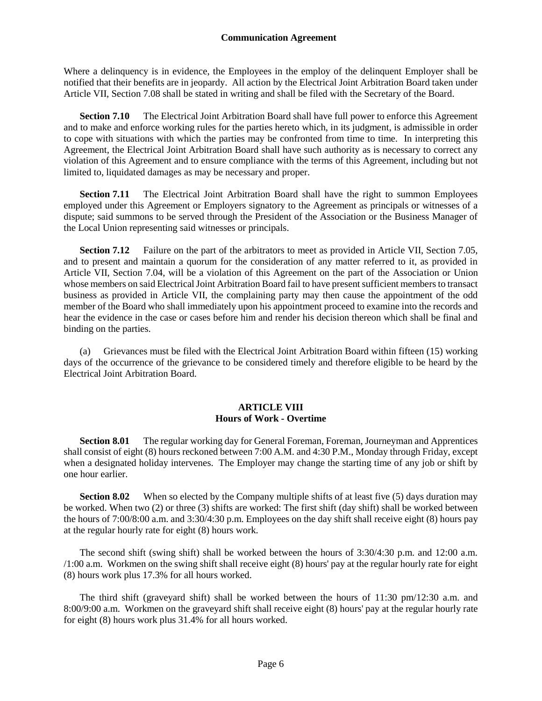Where a delinquency is in evidence, the Employees in the employ of the delinquent Employer shall be notified that their benefits are in jeopardy. All action by the Electrical Joint Arbitration Board taken under Article VII, Section 7.08 shall be stated in writing and shall be filed with the Secretary of the Board.

**Section 7.10** The Electrical Joint Arbitration Board shall have full power to enforce this Agreement and to make and enforce working rules for the parties hereto which, in its judgment, is admissible in order to cope with situations with which the parties may be confronted from time to time. In interpreting this Agreement, the Electrical Joint Arbitration Board shall have such authority as is necessary to correct any violation of this Agreement and to ensure compliance with the terms of this Agreement, including but not limited to, liquidated damages as may be necessary and proper.

Section 7.11 The Electrical Joint Arbitration Board shall have the right to summon Employees employed under this Agreement or Employers signatory to the Agreement as principals or witnesses of a dispute; said summons to be served through the President of the Association or the Business Manager of the Local Union representing said witnesses or principals.

**Section 7.12** Failure on the part of the arbitrators to meet as provided in Article VII, Section 7.05, and to present and maintain a quorum for the consideration of any matter referred to it, as provided in Article VII, Section 7.04, will be a violation of this Agreement on the part of the Association or Union whose members on said Electrical Joint Arbitration Board fail to have present sufficient members to transact business as provided in Article VII, the complaining party may then cause the appointment of the odd member of the Board who shall immediately upon his appointment proceed to examine into the records and hear the evidence in the case or cases before him and render his decision thereon which shall be final and binding on the parties.

(a) Grievances must be filed with the Electrical Joint Arbitration Board within fifteen (15) working days of the occurrence of the grievance to be considered timely and therefore eligible to be heard by the Electrical Joint Arbitration Board.

#### **ARTICLE VIII Hours of Work - Overtime**

<span id="page-10-1"></span><span id="page-10-0"></span>**Section 8.01** The regular working day for General Foreman, Foreman, Journeyman and Apprentices shall consist of eight (8) hours reckoned between 7:00 A.M. and 4:30 P.M., Monday through Friday, except when a designated holiday intervenes. The Employer may change the starting time of any job or shift by one hour earlier.

**Section 8.02** When so elected by the Company multiple shifts of at least five (5) days duration may be worked. When two (2) or three (3) shifts are worked: The first shift (day shift) shall be worked between the hours of 7:00/8:00 a.m. and 3:30/4:30 p.m. Employees on the day shift shall receive eight (8) hours pay at the regular hourly rate for eight (8) hours work.

The second shift (swing shift) shall be worked between the hours of 3:30/4:30 p.m. and 12:00 a.m. /1:00 a.m. Workmen on the swing shift shall receive eight (8) hours' pay at the regular hourly rate for eight (8) hours work plus 17.3% for all hours worked.

The third shift (graveyard shift) shall be worked between the hours of 11:30 pm/12:30 a.m. and 8:00/9:00 a.m. Workmen on the graveyard shift shall receive eight (8) hours' pay at the regular hourly rate for eight (8) hours work plus 31.4% for all hours worked.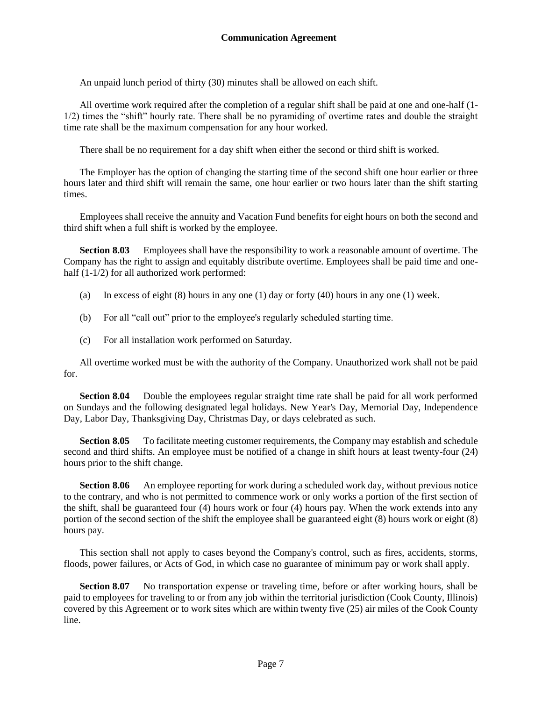An unpaid lunch period of thirty (30) minutes shall be allowed on each shift.

All overtime work required after the completion of a regular shift shall be paid at one and one-half (1- 1/2) times the "shift" hourly rate. There shall be no pyramiding of overtime rates and double the straight time rate shall be the maximum compensation for any hour worked.

There shall be no requirement for a day shift when either the second or third shift is worked.

The Employer has the option of changing the starting time of the second shift one hour earlier or three hours later and third shift will remain the same, one hour earlier or two hours later than the shift starting times.

Employees shall receive the annuity and Vacation Fund benefits for eight hours on both the second and third shift when a full shift is worked by the employee.

**Section 8.03** Employees shall have the responsibility to work a reasonable amount of overtime. The Company has the right to assign and equitably distribute overtime. Employees shall be paid time and onehalf (1-1/2) for all authorized work performed:

- (a) In excess of eight  $(8)$  hours in any one  $(1)$  day or forty  $(40)$  hours in any one  $(1)$  week.
- (b) For all "call out" prior to the employee's regularly scheduled starting time.
- (c) For all installation work performed on Saturday.

All overtime worked must be with the authority of the Company. Unauthorized work shall not be paid for.

**Section 8.04** Double the employees regular straight time rate shall be paid for all work performed on Sundays and the following designated legal holidays. New Year's Day, Memorial Day, Independence Day, Labor Day, Thanksgiving Day, Christmas Day, or days celebrated as such.

**Section 8.05** To facilitate meeting customer requirements, the Company may establish and schedule second and third shifts. An employee must be notified of a change in shift hours at least twenty-four (24) hours prior to the shift change.

**Section 8.06** An employee reporting for work during a scheduled work day, without previous notice to the contrary, and who is not permitted to commence work or only works a portion of the first section of the shift, shall be guaranteed four (4) hours work or four (4) hours pay. When the work extends into any portion of the second section of the shift the employee shall be guaranteed eight (8) hours work or eight (8) hours pay.

This section shall not apply to cases beyond the Company's control, such as fires, accidents, storms, floods, power failures, or Acts of God, in which case no guarantee of minimum pay or work shall apply.

**Section 8.07** No transportation expense or traveling time, before or after working hours, shall be paid to employees for traveling to or from any job within the territorial jurisdiction (Cook County, Illinois) covered by this Agreement or to work sites which are within twenty five (25) air miles of the Cook County line.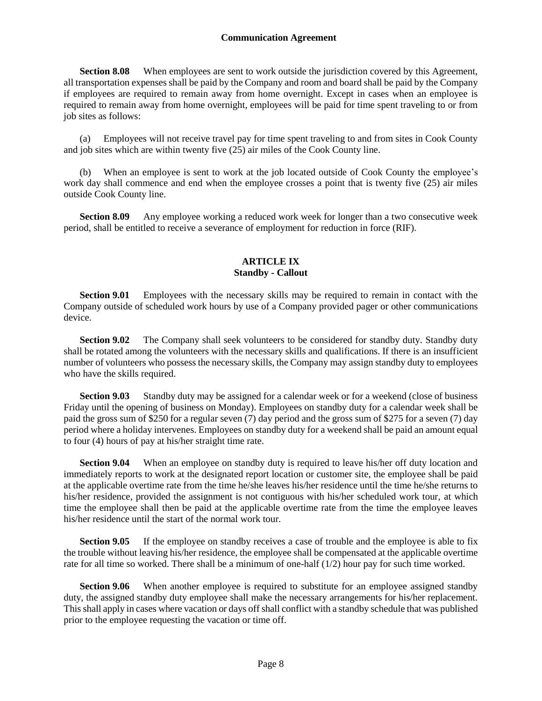**Section 8.08** When employees are sent to work outside the jurisdiction covered by this Agreement, all transportation expenses shall be paid by the Company and room and board shall be paid by the Company if employees are required to remain away from home overnight. Except in cases when an employee is required to remain away from home overnight, employees will be paid for time spent traveling to or from job sites as follows:

(a) Employees will not receive travel pay for time spent traveling to and from sites in Cook County and job sites which are within twenty five (25) air miles of the Cook County line.

(b) When an employee is sent to work at the job located outside of Cook County the employee's work day shall commence and end when the employee crosses a point that is twenty five (25) air miles outside Cook County line.

**Section 8.09** Any employee working a reduced work week for longer than a two consecutive week period, shall be entitled to receive a severance of employment for reduction in force (RIF).

#### **ARTICLE IX Standby - Callout**

<span id="page-12-1"></span><span id="page-12-0"></span>**Section 9.01** Employees with the necessary skills may be required to remain in contact with the Company outside of scheduled work hours by use of a Company provided pager or other communications device.

**Section 9.02** The Company shall seek volunteers to be considered for standby duty. Standby duty shall be rotated among the volunteers with the necessary skills and qualifications. If there is an insufficient number of volunteers who possess the necessary skills, the Company may assign standby duty to employees who have the skills required.

**Section 9.03** Standby duty may be assigned for a calendar week or for a weekend (close of business Friday until the opening of business on Monday). Employees on standby duty for a calendar week shall be paid the gross sum of \$250 for a regular seven (7) day period and the gross sum of \$275 for a seven (7) day period where a holiday intervenes. Employees on standby duty for a weekend shall be paid an amount equal to four (4) hours of pay at his/her straight time rate.

**Section 9.04** When an employee on standby duty is required to leave his/her off duty location and immediately reports to work at the designated report location or customer site, the employee shall be paid at the applicable overtime rate from the time he/she leaves his/her residence until the time he/she returns to his/her residence, provided the assignment is not contiguous with his/her scheduled work tour, at which time the employee shall then be paid at the applicable overtime rate from the time the employee leaves his/her residence until the start of the normal work tour.

**Section 9.05** If the employee on standby receives a case of trouble and the employee is able to fix the trouble without leaving his/her residence, the employee shall be compensated at the applicable overtime rate for all time so worked. There shall be a minimum of one-half (1/2) hour pay for such time worked.

**Section 9.06** When another employee is required to substitute for an employee assigned standby duty, the assigned standby duty employee shall make the necessary arrangements for his/her replacement. This shall apply in cases where vacation or days off shall conflict with a standby schedule that was published prior to the employee requesting the vacation or time off.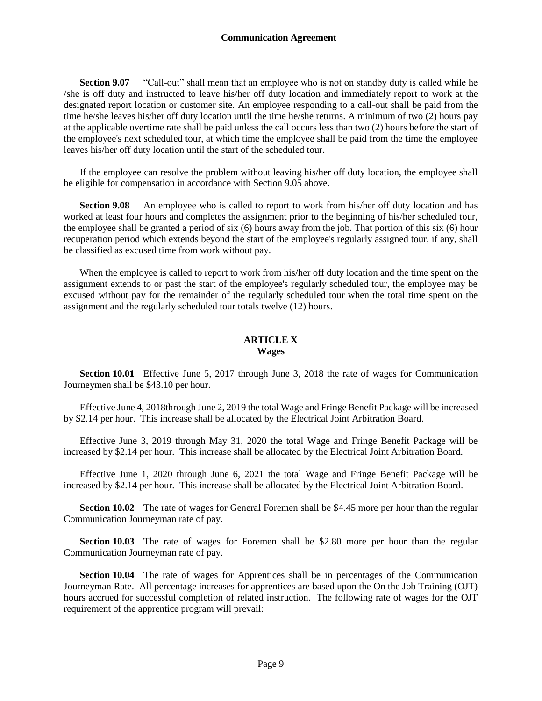**Section 9.07** "Call-out" shall mean that an employee who is not on standby duty is called while he /she is off duty and instructed to leave his/her off duty location and immediately report to work at the designated report location or customer site. An employee responding to a call-out shall be paid from the time he/she leaves his/her off duty location until the time he/she returns. A minimum of two (2) hours pay at the applicable overtime rate shall be paid unless the call occurs less than two (2) hours before the start of the employee's next scheduled tour, at which time the employee shall be paid from the time the employee leaves his/her off duty location until the start of the scheduled tour.

If the employee can resolve the problem without leaving his/her off duty location, the employee shall be eligible for compensation in accordance with Section 9.05 above.

**Section 9.08** An employee who is called to report to work from his/her off duty location and has worked at least four hours and completes the assignment prior to the beginning of his/her scheduled tour, the employee shall be granted a period of six (6) hours away from the job. That portion of this six (6) hour recuperation period which extends beyond the start of the employee's regularly assigned tour, if any, shall be classified as excused time from work without pay.

When the employee is called to report to work from his/her off duty location and the time spent on the assignment extends to or past the start of the employee's regularly scheduled tour, the employee may be excused without pay for the remainder of the regularly scheduled tour when the total time spent on the assignment and the regularly scheduled tour totals twelve (12) hours.

#### **ARTICLE X Wages**

<span id="page-13-1"></span><span id="page-13-0"></span>**Section 10.01** Effective June 5, 2017 through June 3, 2018 the rate of wages for Communication Journeymen shall be \$43.10 per hour.

Effective June 4, 2018through June 2, 2019 the total Wage and Fringe Benefit Package will be increased by \$2.14 per hour. This increase shall be allocated by the Electrical Joint Arbitration Board.

Effective June 3, 2019 through May 31, 2020 the total Wage and Fringe Benefit Package will be increased by \$2.14 per hour. This increase shall be allocated by the Electrical Joint Arbitration Board.

Effective June 1, 2020 through June 6, 2021 the total Wage and Fringe Benefit Package will be increased by \$2.14 per hour. This increase shall be allocated by the Electrical Joint Arbitration Board.

**Section 10.02** The rate of wages for General Foremen shall be \$4.45 more per hour than the regular Communication Journeyman rate of pay.

**Section 10.03** The rate of wages for Foremen shall be \$2.80 more per hour than the regular Communication Journeyman rate of pay.

**Section 10.04** The rate of wages for Apprentices shall be in percentages of the Communication Journeyman Rate. All percentage increases for apprentices are based upon the On the Job Training (OJT) hours accrued for successful completion of related instruction. The following rate of wages for the OJT requirement of the apprentice program will prevail: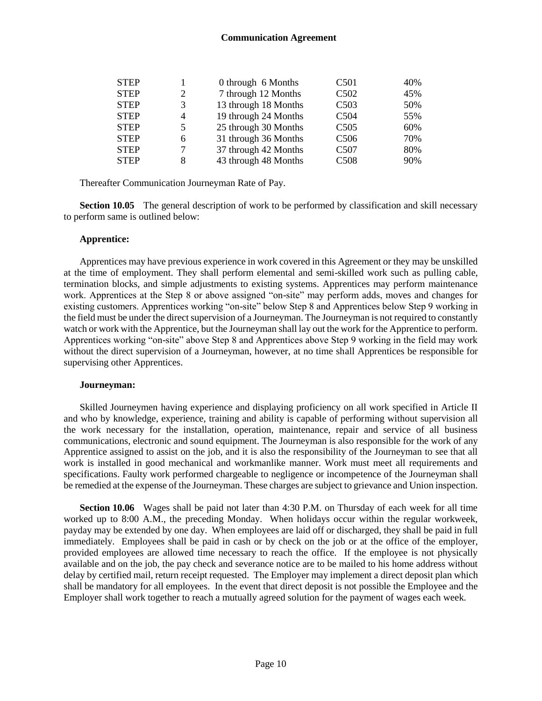| <b>STEP</b> |   | 0 through 6 Months   | C <sub>501</sub>  | 40% |
|-------------|---|----------------------|-------------------|-----|
| <b>STEP</b> | 2 | 7 through 12 Months  | C <sub>5</sub> 02 | 45% |
| <b>STEP</b> | 3 | 13 through 18 Months | C <sub>5</sub> 03 | 50% |
| <b>STEP</b> | 4 | 19 through 24 Months | C <sub>504</sub>  | 55% |
| <b>STEP</b> | 5 | 25 through 30 Months | C <sub>5</sub> 05 | 60% |
| <b>STEP</b> | 6 | 31 through 36 Months | C <sub>5</sub> 06 | 70% |
| <b>STEP</b> |   | 37 through 42 Months | C <sub>507</sub>  | 80% |
| <b>STEP</b> | 8 | 43 through 48 Months | C <sub>508</sub>  | 90% |

Thereafter Communication Journeyman Rate of Pay.

**Section 10.05** The general description of work to be performed by classification and skill necessary to perform same is outlined below:

#### **Apprentice:**

Apprentices may have previous experience in work covered in this Agreement or they may be unskilled at the time of employment. They shall perform elemental and semi-skilled work such as pulling cable, termination blocks, and simple adjustments to existing systems. Apprentices may perform maintenance work. Apprentices at the Step 8 or above assigned "on-site" may perform adds, moves and changes for existing customers. Apprentices working "on-site" below Step 8 and Apprentices below Step 9 working in the field must be under the direct supervision of a Journeyman. The Journeyman is not required to constantly watch or work with the Apprentice, but the Journeyman shall lay out the work for the Apprentice to perform. Apprentices working "on-site" above Step 8 and Apprentices above Step 9 working in the field may work without the direct supervision of a Journeyman, however, at no time shall Apprentices be responsible for supervising other Apprentices.

#### **Journeyman:**

Skilled Journeymen having experience and displaying proficiency on all work specified in Article II and who by knowledge, experience, training and ability is capable of performing without supervision all the work necessary for the installation, operation, maintenance, repair and service of all business communications, electronic and sound equipment. The Journeyman is also responsible for the work of any Apprentice assigned to assist on the job, and it is also the responsibility of the Journeyman to see that all work is installed in good mechanical and workmanlike manner. Work must meet all requirements and specifications. Faulty work performed chargeable to negligence or incompetence of the Journeyman shall be remedied at the expense of the Journeyman. These charges are subject to grievance and Union inspection.

**Section 10.06** Wages shall be paid not later than 4:30 P.M. on Thursday of each week for all time worked up to 8:00 A.M., the preceding Monday. When holidays occur within the regular workweek, payday may be extended by one day. When employees are laid off or discharged, they shall be paid in full immediately. Employees shall be paid in cash or by check on the job or at the office of the employer, provided employees are allowed time necessary to reach the office. If the employee is not physically available and on the job, the pay check and severance notice are to be mailed to his home address without delay by certified mail, return receipt requested. The Employer may implement a direct deposit plan which shall be mandatory for all employees. In the event that direct deposit is not possible the Employee and the Employer shall work together to reach a mutually agreed solution for the payment of wages each week.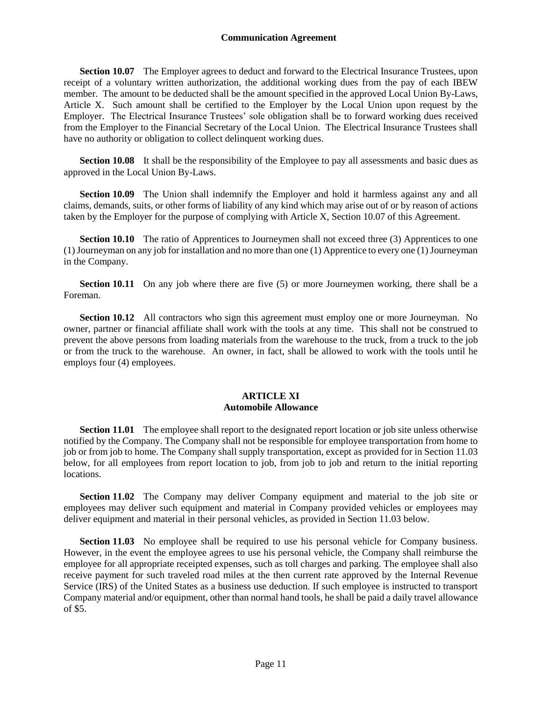**Section 10.07** The Employer agrees to deduct and forward to the Electrical Insurance Trustees, upon receipt of a voluntary written authorization, the additional working dues from the pay of each IBEW member. The amount to be deducted shall be the amount specified in the approved Local Union By-Laws, Article X. Such amount shall be certified to the Employer by the Local Union upon request by the Employer. The Electrical Insurance Trustees' sole obligation shall be to forward working dues received from the Employer to the Financial Secretary of the Local Union. The Electrical Insurance Trustees shall have no authority or obligation to collect delinquent working dues.

**Section 10.08** It shall be the responsibility of the Employee to pay all assessments and basic dues as approved in the Local Union By-Laws.

**Section 10.09** The Union shall indemnify the Employer and hold it harmless against any and all claims, demands, suits, or other forms of liability of any kind which may arise out of or by reason of actions taken by the Employer for the purpose of complying with Article X, Section 10.07 of this Agreement.

**Section 10.10** The ratio of Apprentices to Journeymen shall not exceed three (3) Apprentices to one (1) Journeyman on any job for installation and no more than one (1) Apprentice to every one (1) Journeyman in the Company.

**Section 10.11** On any job where there are five (5) or more Journeymen working, there shall be a Foreman.

**Section 10.12** All contractors who sign this agreement must employ one or more Journeyman. No owner, partner or financial affiliate shall work with the tools at any time. This shall not be construed to prevent the above persons from loading materials from the warehouse to the truck, from a truck to the job or from the truck to the warehouse. An owner, in fact, shall be allowed to work with the tools until he employs four (4) employees.

#### **ARTICLE XI Automobile Allowance**

<span id="page-15-1"></span><span id="page-15-0"></span>**Section 11.01** The employee shall report to the designated report location or job site unless otherwise notified by the Company. The Company shall not be responsible for employee transportation from home to job or from job to home. The Company shall supply transportation, except as provided for in Section 11.03 below, for all employees from report location to job, from job to job and return to the initial reporting locations.

**Section 11.02** The Company may deliver Company equipment and material to the job site or employees may deliver such equipment and material in Company provided vehicles or employees may deliver equipment and material in their personal vehicles, as provided in Section 11.03 below.

**Section 11.03** No employee shall be required to use his personal vehicle for Company business. However, in the event the employee agrees to use his personal vehicle, the Company shall reimburse the employee for all appropriate receipted expenses, such as toll charges and parking. The employee shall also receive payment for such traveled road miles at the then current rate approved by the Internal Revenue Service (IRS) of the United States as a business use deduction. If such employee is instructed to transport Company material and/or equipment, other than normal hand tools, he shall be paid a daily travel allowance of \$5.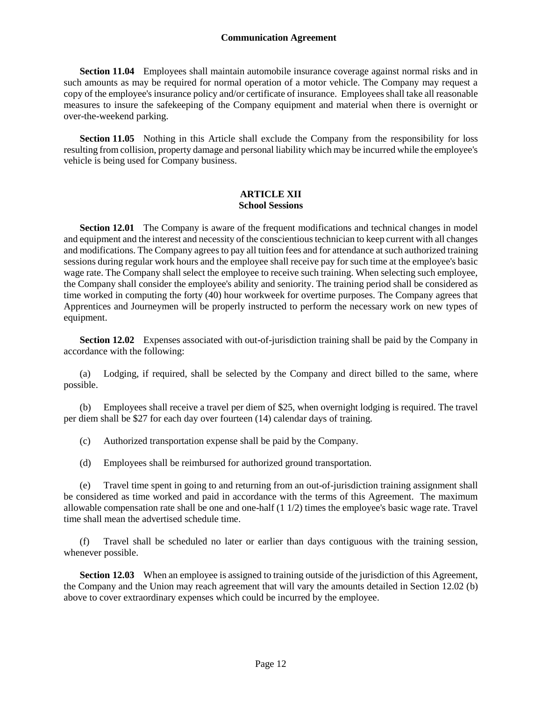**Section 11.04** Employees shall maintain automobile insurance coverage against normal risks and in such amounts as may be required for normal operation of a motor vehicle. The Company may request a copy of the employee's insurance policy and/or certificate of insurance. Employees shall take all reasonable measures to insure the safekeeping of the Company equipment and material when there is overnight or over-the-weekend parking.

**Section 11.05** Nothing in this Article shall exclude the Company from the responsibility for loss resulting from collision, property damage and personal liability which may be incurred while the employee's vehicle is being used for Company business.

#### **ARTICLE XII School Sessions**

<span id="page-16-1"></span><span id="page-16-0"></span>**Section 12.01** The Company is aware of the frequent modifications and technical changes in model and equipment and the interest and necessity of the conscientious technician to keep current with all changes and modifications. The Company agrees to pay all tuition fees and for attendance at such authorized training sessions during regular work hours and the employee shall receive pay for such time at the employee's basic wage rate. The Company shall select the employee to receive such training. When selecting such employee, the Company shall consider the employee's ability and seniority. The training period shall be considered as time worked in computing the forty (40) hour workweek for overtime purposes. The Company agrees that Apprentices and Journeymen will be properly instructed to perform the necessary work on new types of equipment.

**Section 12.02** Expenses associated with out-of-jurisdiction training shall be paid by the Company in accordance with the following:

(a) Lodging, if required, shall be selected by the Company and direct billed to the same, where possible.

(b) Employees shall receive a travel per diem of \$25, when overnight lodging is required. The travel per diem shall be \$27 for each day over fourteen (14) calendar days of training.

(c) Authorized transportation expense shall be paid by the Company.

(d) Employees shall be reimbursed for authorized ground transportation.

(e) Travel time spent in going to and returning from an out-of-jurisdiction training assignment shall be considered as time worked and paid in accordance with the terms of this Agreement. The maximum allowable compensation rate shall be one and one-half (1 1/2) times the employee's basic wage rate. Travel time shall mean the advertised schedule time.

(f) Travel shall be scheduled no later or earlier than days contiguous with the training session, whenever possible.

**Section 12.03** When an employee is assigned to training outside of the jurisdiction of this Agreement, the Company and the Union may reach agreement that will vary the amounts detailed in Section 12.02 (b) above to cover extraordinary expenses which could be incurred by the employee.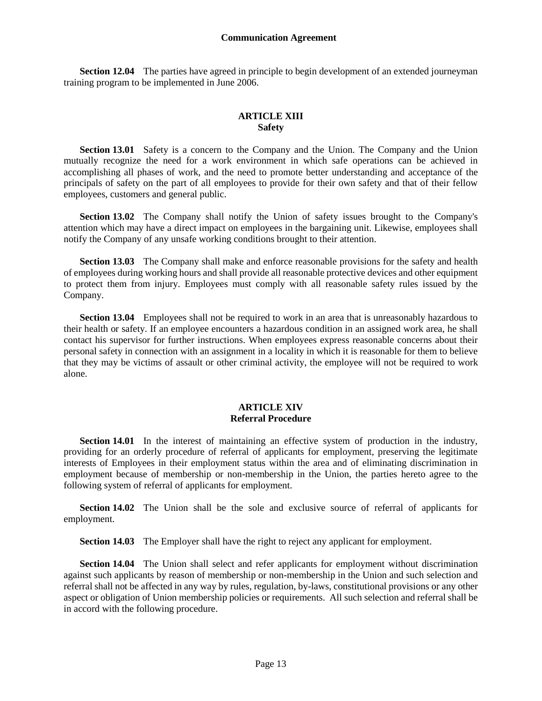**Section 12.04** The parties have agreed in principle to begin development of an extended journeyman training program to be implemented in June 2006.

#### **ARTICLE XIII Safety**

<span id="page-17-1"></span><span id="page-17-0"></span>**Section 13.01** Safety is a concern to the Company and the Union. The Company and the Union mutually recognize the need for a work environment in which safe operations can be achieved in accomplishing all phases of work, and the need to promote better understanding and acceptance of the principals of safety on the part of all employees to provide for their own safety and that of their fellow employees, customers and general public.

**Section 13.02** The Company shall notify the Union of safety issues brought to the Company's attention which may have a direct impact on employees in the bargaining unit. Likewise, employees shall notify the Company of any unsafe working conditions brought to their attention.

**Section 13.03** The Company shall make and enforce reasonable provisions for the safety and health of employees during working hours and shall provide all reasonable protective devices and other equipment to protect them from injury. Employees must comply with all reasonable safety rules issued by the Company.

**Section 13.04** Employees shall not be required to work in an area that is unreasonably hazardous to their health or safety. If an employee encounters a hazardous condition in an assigned work area, he shall contact his supervisor for further instructions. When employees express reasonable concerns about their personal safety in connection with an assignment in a locality in which it is reasonable for them to believe that they may be victims of assault or other criminal activity, the employee will not be required to work alone.

#### **ARTICLE XIV Referral Procedure**

<span id="page-17-3"></span><span id="page-17-2"></span>**Section 14.01** In the interest of maintaining an effective system of production in the industry, providing for an orderly procedure of referral of applicants for employment, preserving the legitimate interests of Employees in their employment status within the area and of eliminating discrimination in employment because of membership or non-membership in the Union, the parties hereto agree to the following system of referral of applicants for employment.

**Section 14.02** The Union shall be the sole and exclusive source of referral of applicants for employment.

**Section 14.03** The Employer shall have the right to reject any applicant for employment.

**Section 14.04** The Union shall select and refer applicants for employment without discrimination against such applicants by reason of membership or non-membership in the Union and such selection and referral shall not be affected in any way by rules, regulation, by-laws, constitutional provisions or any other aspect or obligation of Union membership policies or requirements. All such selection and referral shall be in accord with the following procedure.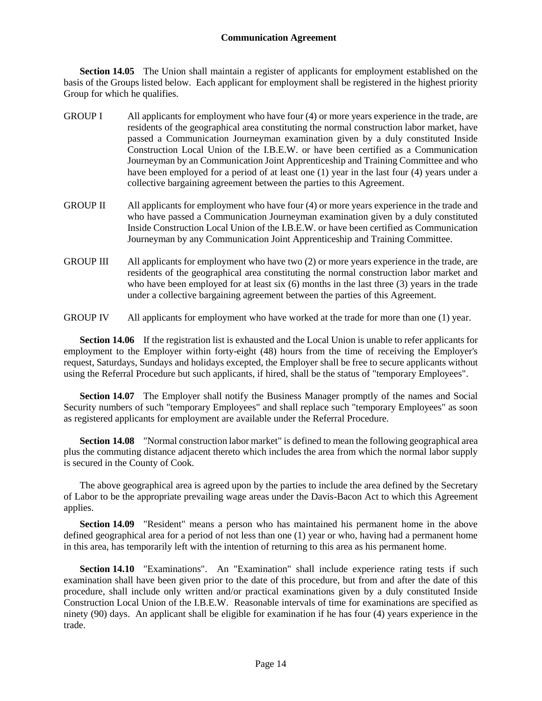**Section 14.05** The Union shall maintain a register of applicants for employment established on the basis of the Groups listed below. Each applicant for employment shall be registered in the highest priority Group for which he qualifies.

- GROUP I All applicants for employment who have four (4) or more years experience in the trade, are residents of the geographical area constituting the normal construction labor market, have passed a Communication Journeyman examination given by a duly constituted Inside Construction Local Union of the I.B.E.W. or have been certified as a Communication Journeyman by an Communication Joint Apprenticeship and Training Committee and who have been employed for a period of at least one (1) year in the last four (4) years under a collective bargaining agreement between the parties to this Agreement.
- GROUP II All applicants for employment who have four (4) or more years experience in the trade and who have passed a Communication Journeyman examination given by a duly constituted Inside Construction Local Union of the I.B.E.W. or have been certified as Communication Journeyman by any Communication Joint Apprenticeship and Training Committee.
- GROUP III All applicants for employment who have two (2) or more years experience in the trade, are residents of the geographical area constituting the normal construction labor market and who have been employed for at least six (6) months in the last three (3) years in the trade under a collective bargaining agreement between the parties of this Agreement.

GROUP IV All applicants for employment who have worked at the trade for more than one (1) year.

**Section 14.06** If the registration list is exhausted and the Local Union is unable to refer applicants for employment to the Employer within forty-eight (48) hours from the time of receiving the Employer's request, Saturdays, Sundays and holidays excepted, the Employer shall be free to secure applicants without using the Referral Procedure but such applicants, if hired, shall be the status of "temporary Employees".

**Section 14.07** The Employer shall notify the Business Manager promptly of the names and Social Security numbers of such "temporary Employees" and shall replace such "temporary Employees" as soon as registered applicants for employment are available under the Referral Procedure.

**Section 14.08** "Normal construction labor market" is defined to mean the following geographical area plus the commuting distance adjacent thereto which includes the area from which the normal labor supply is secured in the County of Cook.

The above geographical area is agreed upon by the parties to include the area defined by the Secretary of Labor to be the appropriate prevailing wage areas under the Davis-Bacon Act to which this Agreement applies.

**Section 14.09** "Resident" means a person who has maintained his permanent home in the above defined geographical area for a period of not less than one (1) year or who, having had a permanent home in this area, has temporarily left with the intention of returning to this area as his permanent home.

Section 14.10 "Examinations". An "Examination" shall include experience rating tests if such examination shall have been given prior to the date of this procedure, but from and after the date of this procedure, shall include only written and/or practical examinations given by a duly constituted Inside Construction Local Union of the I.B.E.W. Reasonable intervals of time for examinations are specified as ninety (90) days. An applicant shall be eligible for examination if he has four (4) years experience in the trade.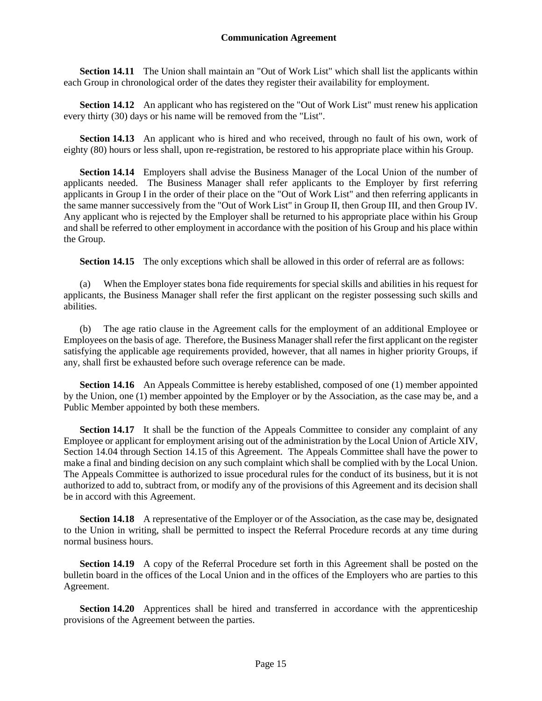**Section 14.11** The Union shall maintain an "Out of Work List" which shall list the applicants within each Group in chronological order of the dates they register their availability for employment.

**Section 14.12** An applicant who has registered on the "Out of Work List" must renew his application every thirty (30) days or his name will be removed from the "List".

**Section 14.13** An applicant who is hired and who received, through no fault of his own, work of eighty (80) hours or less shall, upon re-registration, be restored to his appropriate place within his Group.

**Section 14.14** Employers shall advise the Business Manager of the Local Union of the number of applicants needed. The Business Manager shall refer applicants to the Employer by first referring applicants in Group I in the order of their place on the "Out of Work List" and then referring applicants in the same manner successively from the "Out of Work List" in Group II, then Group III, and then Group IV. Any applicant who is rejected by the Employer shall be returned to his appropriate place within his Group and shall be referred to other employment in accordance with the position of his Group and his place within the Group.

**Section 14.15** The only exceptions which shall be allowed in this order of referral are as follows:

(a) When the Employer states bona fide requirements for special skills and abilities in his request for applicants, the Business Manager shall refer the first applicant on the register possessing such skills and abilities.

(b) The age ratio clause in the Agreement calls for the employment of an additional Employee or Employees on the basis of age. Therefore, the Business Manager shall refer the first applicant on the register satisfying the applicable age requirements provided, however, that all names in higher priority Groups, if any, shall first be exhausted before such overage reference can be made.

**Section 14.16** An Appeals Committee is hereby established, composed of one (1) member appointed by the Union, one (1) member appointed by the Employer or by the Association, as the case may be, and a Public Member appointed by both these members.

**Section 14.17** It shall be the function of the Appeals Committee to consider any complaint of any Employee or applicant for employment arising out of the administration by the Local Union of Article XIV, Section 14.04 through Section 14.15 of this Agreement. The Appeals Committee shall have the power to make a final and binding decision on any such complaint which shall be complied with by the Local Union. The Appeals Committee is authorized to issue procedural rules for the conduct of its business, but it is not authorized to add to, subtract from, or modify any of the provisions of this Agreement and its decision shall be in accord with this Agreement.

**Section 14.18** A representative of the Employer or of the Association, as the case may be, designated to the Union in writing, shall be permitted to inspect the Referral Procedure records at any time during normal business hours.

**Section 14.19** A copy of the Referral Procedure set forth in this Agreement shall be posted on the bulletin board in the offices of the Local Union and in the offices of the Employers who are parties to this Agreement.

**Section 14.20** Apprentices shall be hired and transferred in accordance with the apprenticeship provisions of the Agreement between the parties.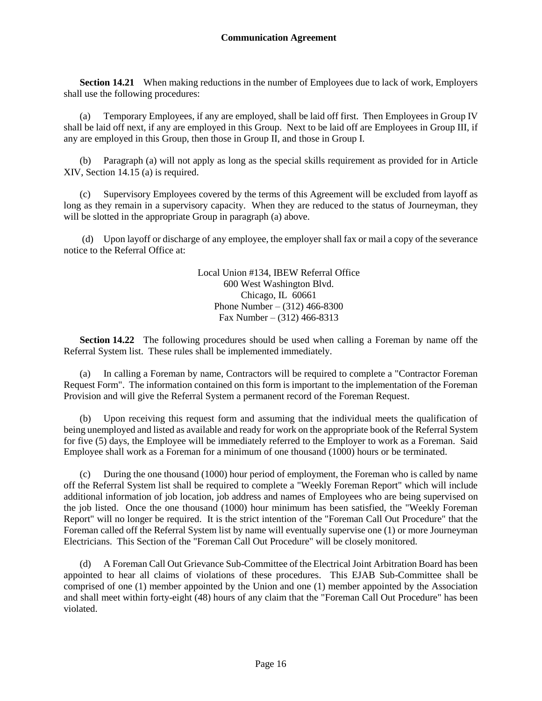**Section 14.21** When making reductions in the number of Employees due to lack of work, Employers shall use the following procedures:

(a) Temporary Employees, if any are employed, shall be laid off first. Then Employees in Group IV shall be laid off next, if any are employed in this Group. Next to be laid off are Employees in Group III, if any are employed in this Group, then those in Group II, and those in Group I.

(b) Paragraph (a) will not apply as long as the special skills requirement as provided for in Article XIV, Section 14.15 (a) is required.

(c) Supervisory Employees covered by the terms of this Agreement will be excluded from layoff as long as they remain in a supervisory capacity. When they are reduced to the status of Journeyman, they will be slotted in the appropriate Group in paragraph (a) above.

(d) Upon layoff or discharge of any employee, the employer shall fax or mail a copy of the severance notice to the Referral Office at:

> Local Union #134, IBEW Referral Office 600 West Washington Blvd. Chicago, IL 60661 Phone Number – (312) 466-8300 Fax Number –  $(312)$  466-8313

**Section 14.22** The following procedures should be used when calling a Foreman by name off the Referral System list. These rules shall be implemented immediately.

(a) In calling a Foreman by name, Contractors will be required to complete a "Contractor Foreman Request Form". The information contained on this form is important to the implementation of the Foreman Provision and will give the Referral System a permanent record of the Foreman Request.

(b) Upon receiving this request form and assuming that the individual meets the qualification of being unemployed and listed as available and ready for work on the appropriate book of the Referral System for five (5) days, the Employee will be immediately referred to the Employer to work as a Foreman. Said Employee shall work as a Foreman for a minimum of one thousand (1000) hours or be terminated.

(c) During the one thousand (1000) hour period of employment, the Foreman who is called by name off the Referral System list shall be required to complete a "Weekly Foreman Report" which will include additional information of job location, job address and names of Employees who are being supervised on the job listed. Once the one thousand (1000) hour minimum has been satisfied, the "Weekly Foreman Report" will no longer be required. It is the strict intention of the "Foreman Call Out Procedure" that the Foreman called off the Referral System list by name will eventually supervise one (1) or more Journeyman Electricians. This Section of the "Foreman Call Out Procedure" will be closely monitored.

(d) A Foreman Call Out Grievance Sub-Committee of the Electrical Joint Arbitration Board has been appointed to hear all claims of violations of these procedures. This EJAB Sub-Committee shall be comprised of one (1) member appointed by the Union and one (1) member appointed by the Association and shall meet within forty-eight (48) hours of any claim that the "Foreman Call Out Procedure" has been violated.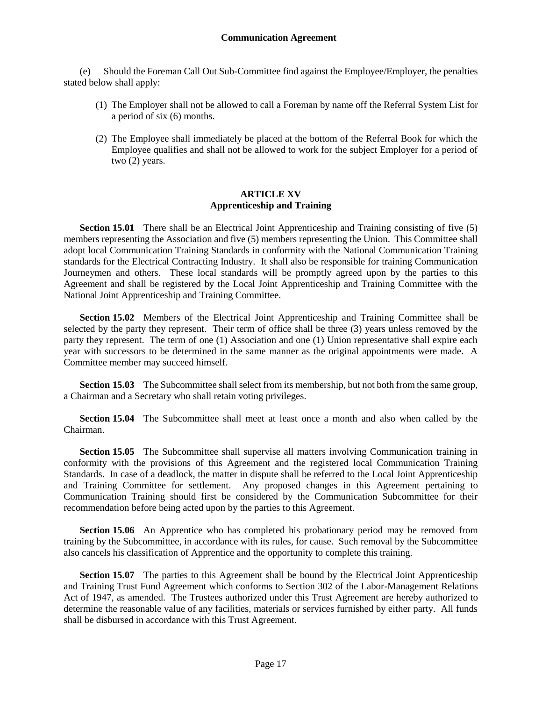(e) Should the Foreman Call Out Sub-Committee find against the Employee/Employer, the penalties stated below shall apply:

- (1) The Employer shall not be allowed to call a Foreman by name off the Referral System List for a period of six (6) months.
- (2) The Employee shall immediately be placed at the bottom of the Referral Book for which the Employee qualifies and shall not be allowed to work for the subject Employer for a period of  $two$  (2) years.

#### **ARTICLE XV Apprenticeship and Training**

<span id="page-21-1"></span><span id="page-21-0"></span>**Section 15.01** There shall be an Electrical Joint Apprenticeship and Training consisting of five (5) members representing the Association and five (5) members representing the Union. This Committee shall adopt local Communication Training Standards in conformity with the National Communication Training standards for the Electrical Contracting Industry. It shall also be responsible for training Communication Journeymen and others. These local standards will be promptly agreed upon by the parties to this Agreement and shall be registered by the Local Joint Apprenticeship and Training Committee with the National Joint Apprenticeship and Training Committee.

**Section 15.02** Members of the Electrical Joint Apprenticeship and Training Committee shall be selected by the party they represent. Their term of office shall be three (3) years unless removed by the party they represent. The term of one (1) Association and one (1) Union representative shall expire each year with successors to be determined in the same manner as the original appointments were made. A Committee member may succeed himself.

**Section 15.03** The Subcommittee shall select from its membership, but not both from the same group, a Chairman and a Secretary who shall retain voting privileges.

Section 15.04 The Subcommittee shall meet at least once a month and also when called by the Chairman.

**Section 15.05** The Subcommittee shall supervise all matters involving Communication training in conformity with the provisions of this Agreement and the registered local Communication Training Standards. In case of a deadlock, the matter in dispute shall be referred to the Local Joint Apprenticeship and Training Committee for settlement. Any proposed changes in this Agreement pertaining to Communication Training should first be considered by the Communication Subcommittee for their recommendation before being acted upon by the parties to this Agreement.

**Section 15.06** An Apprentice who has completed his probationary period may be removed from training by the Subcommittee, in accordance with its rules, for cause. Such removal by the Subcommittee also cancels his classification of Apprentice and the opportunity to complete this training.

**Section 15.07** The parties to this Agreement shall be bound by the Electrical Joint Apprenticeship and Training Trust Fund Agreement which conforms to Section 302 of the Labor-Management Relations Act of 1947, as amended. The Trustees authorized under this Trust Agreement are hereby authorized to determine the reasonable value of any facilities, materials or services furnished by either party. All funds shall be disbursed in accordance with this Trust Agreement.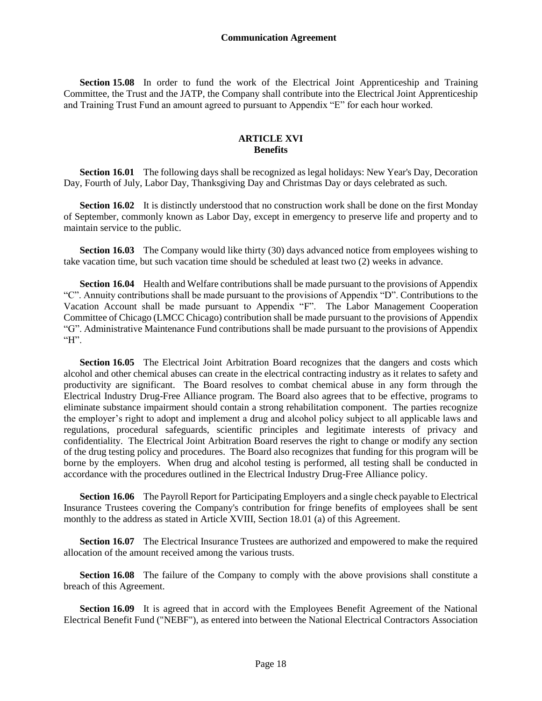Section 15.08 In order to fund the work of the Electrical Joint Apprenticeship and Training Committee, the Trust and the JATP, the Company shall contribute into the Electrical Joint Apprenticeship and Training Trust Fund an amount agreed to pursuant to Appendix "E" for each hour worked.

#### **ARTICLE XVI Benefits**

<span id="page-22-1"></span><span id="page-22-0"></span>**Section 16.01** The following days shall be recognized as legal holidays: New Year's Day, Decoration Day, Fourth of July, Labor Day, Thanksgiving Day and Christmas Day or days celebrated as such.

**Section 16.02** It is distinctly understood that no construction work shall be done on the first Monday of September, commonly known as Labor Day, except in emergency to preserve life and property and to maintain service to the public.

**Section 16.03** The Company would like thirty (30) days advanced notice from employees wishing to take vacation time, but such vacation time should be scheduled at least two (2) weeks in advance.

**Section 16.04** Health and Welfare contributions shall be made pursuant to the provisions of Appendix "C". Annuity contributions shall be made pursuant to the provisions of Appendix "D". Contributions to the Vacation Account shall be made pursuant to Appendix "F". The Labor Management Cooperation Committee of Chicago (LMCC Chicago) contribution shall be made pursuant to the provisions of Appendix "G". Administrative Maintenance Fund contributions shall be made pursuant to the provisions of Appendix "H".

**Section 16.05** The Electrical Joint Arbitration Board recognizes that the dangers and costs which alcohol and other chemical abuses can create in the electrical contracting industry as it relates to safety and productivity are significant. The Board resolves to combat chemical abuse in any form through the Electrical Industry Drug-Free Alliance program. The Board also agrees that to be effective, programs to eliminate substance impairment should contain a strong rehabilitation component. The parties recognize the employer's right to adopt and implement a drug and alcohol policy subject to all applicable laws and regulations, procedural safeguards, scientific principles and legitimate interests of privacy and confidentiality. The Electrical Joint Arbitration Board reserves the right to change or modify any section of the drug testing policy and procedures. The Board also recognizes that funding for this program will be borne by the employers. When drug and alcohol testing is performed, all testing shall be conducted in accordance with the procedures outlined in the Electrical Industry Drug-Free Alliance policy.

**Section 16.06** The Payroll Report for Participating Employers and a single check payable to Electrical Insurance Trustees covering the Company's contribution for fringe benefits of employees shall be sent monthly to the address as stated in Article XVIII, Section 18.01 (a) of this Agreement.

**Section 16.07** The Electrical Insurance Trustees are authorized and empowered to make the required allocation of the amount received among the various trusts.

**Section 16.08** The failure of the Company to comply with the above provisions shall constitute a breach of this Agreement.

**Section 16.09** It is agreed that in accord with the Employees Benefit Agreement of the National Electrical Benefit Fund ("NEBF"), as entered into between the National Electrical Contractors Association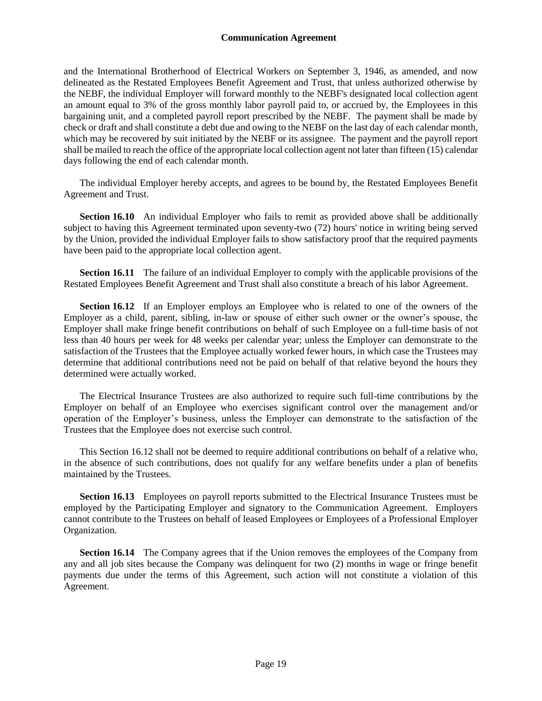and the International Brotherhood of Electrical Workers on September 3, 1946, as amended, and now delineated as the Restated Employees Benefit Agreement and Trust, that unless authorized otherwise by the NEBF, the individual Employer will forward monthly to the NEBF's designated local collection agent an amount equal to 3% of the gross monthly labor payroll paid to, or accrued by, the Employees in this bargaining unit, and a completed payroll report prescribed by the NEBF. The payment shall be made by check or draft and shall constitute a debt due and owing to the NEBF on the last day of each calendar month, which may be recovered by suit initiated by the NEBF or its assignee. The payment and the payroll report shall be mailed to reach the office of the appropriate local collection agent not later than fifteen (15) calendar days following the end of each calendar month.

The individual Employer hereby accepts, and agrees to be bound by, the Restated Employees Benefit Agreement and Trust.

**Section 16.10** An individual Employer who fails to remit as provided above shall be additionally subject to having this Agreement terminated upon seventy-two (72) hours' notice in writing being served by the Union, provided the individual Employer fails to show satisfactory proof that the required payments have been paid to the appropriate local collection agent.

**Section 16.11** The failure of an individual Employer to comply with the applicable provisions of the Restated Employees Benefit Agreement and Trust shall also constitute a breach of his labor Agreement.

**Section 16.12** If an Employer employs an Employee who is related to one of the owners of the Employer as a child, parent, sibling, in-law or spouse of either such owner or the owner's spouse, the Employer shall make fringe benefit contributions on behalf of such Employee on a full-time basis of not less than 40 hours per week for 48 weeks per calendar year; unless the Employer can demonstrate to the satisfaction of the Trustees that the Employee actually worked fewer hours, in which case the Trustees may determine that additional contributions need not be paid on behalf of that relative beyond the hours they determined were actually worked.

The Electrical Insurance Trustees are also authorized to require such full-time contributions by the Employer on behalf of an Employee who exercises significant control over the management and/or operation of the Employer's business, unless the Employer can demonstrate to the satisfaction of the Trustees that the Employee does not exercise such control.

This Section 16.12 shall not be deemed to require additional contributions on behalf of a relative who, in the absence of such contributions, does not qualify for any welfare benefits under a plan of benefits maintained by the Trustees.

Section 16.13 Employees on payroll reports submitted to the Electrical Insurance Trustees must be employed by the Participating Employer and signatory to the Communication Agreement. Employers cannot contribute to the Trustees on behalf of leased Employees or Employees of a Professional Employer Organization.

**Section 16.14** The Company agrees that if the Union removes the employees of the Company from any and all job sites because the Company was delinquent for two (2) months in wage or fringe benefit payments due under the terms of this Agreement, such action will not constitute a violation of this Agreement.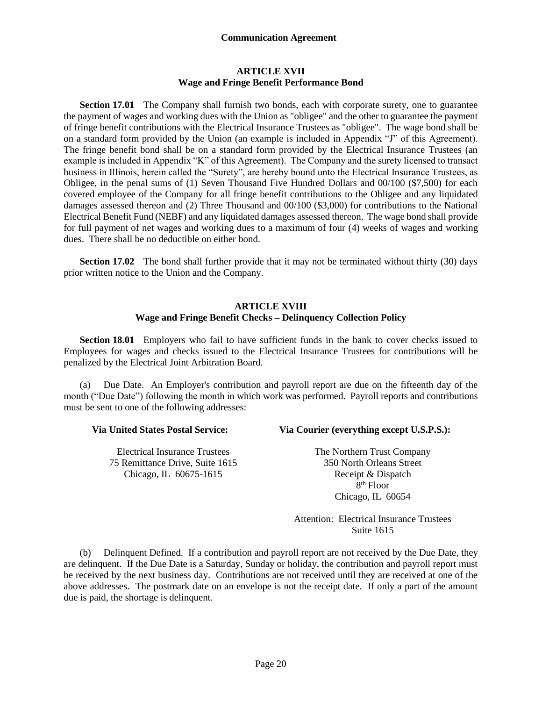#### **ARTICLE XVII Wage and Fringe Benefit Performance Bond**

<span id="page-24-1"></span><span id="page-24-0"></span>**Section 17.01** The Company shall furnish two bonds, each with corporate surety, one to guarantee the payment of wages and working dues with the Union as "obligee" and the other to guarantee the payment of fringe benefit contributions with the Electrical Insurance Trustees as "obligee". The wage bond shall be on a standard form provided by the Union (an example is included in Appendix "J" of this Agreement). The fringe benefit bond shall be on a standard form provided by the Electrical Insurance Trustees (an example is included in Appendix "K" of this Agreement). The Company and the surety licensed to transact business in Illinois, herein called the "Surety", are hereby bound unto the Electrical Insurance Trustees, as Obligee, in the penal sums of (1) Seven Thousand Five Hundred Dollars and 00/100 (\$7,500) for each covered employee of the Company for all fringe benefit contributions to the Obligee and any liquidated damages assessed thereon and (2) Three Thousand and 00/100 (\$3,000) for contributions to the National Electrical Benefit Fund (NEBF) and any liquidated damages assessed thereon. The wage bond shall provide for full payment of net wages and working dues to a maximum of four (4) weeks of wages and working dues. There shall be no deductible on either bond.

**Section 17.02** The bond shall further provide that it may not be terminated without thirty (30) days prior written notice to the Union and the Company.

#### **ARTICLE XVIII Wage and Fringe Benefit Checks – Delinquency Collection Policy**

<span id="page-24-3"></span><span id="page-24-2"></span>Section 18.01 Employers who fail to have sufficient funds in the bank to cover checks issued to Employees for wages and checks issued to the Electrical Insurance Trustees for contributions will be penalized by the Electrical Joint Arbitration Board.

(a) Due Date. An Employer's contribution and payroll report are due on the fifteenth day of the month ("Due Date") following the month in which work was performed. Payroll reports and contributions must be sent to one of the following addresses:

Electrical Insurance Trustees 75 Remittance Drive, Suite 1615 Chicago, IL 60675-1615

#### **Via United States Postal Service: Via Courier (everything except U.S.P.S.):**

The Northern Trust Company 350 North Orleans Street Receipt & Dispatch 8 th Floor Chicago, IL 60654

Attention: Electrical Insurance Trustees Suite 1615

(b) Delinquent Defined. If a contribution and payroll report are not received by the Due Date, they are delinquent. If the Due Date is a Saturday, Sunday or holiday, the contribution and payroll report must be received by the next business day. Contributions are not received until they are received at one of the above addresses. The postmark date on an envelope is not the receipt date. If only a part of the amount due is paid, the shortage is delinquent.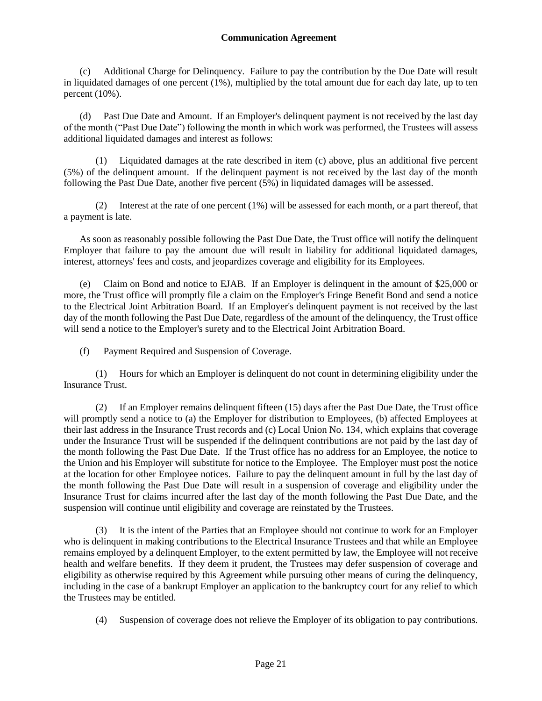(c) Additional Charge for Delinquency. Failure to pay the contribution by the Due Date will result in liquidated damages of one percent  $(1\%)$ , multiplied by the total amount due for each day late, up to ten percent (10%).

(d) Past Due Date and Amount. If an Employer's delinquent payment is not received by the last day of the month ("Past Due Date") following the month in which work was performed, the Trustees will assess additional liquidated damages and interest as follows:

(1) Liquidated damages at the rate described in item (c) above, plus an additional five percent (5%) of the delinquent amount. If the delinquent payment is not received by the last day of the month following the Past Due Date, another five percent (5%) in liquidated damages will be assessed.

(2) Interest at the rate of one percent (1%) will be assessed for each month, or a part thereof, that a payment is late.

As soon as reasonably possible following the Past Due Date, the Trust office will notify the delinquent Employer that failure to pay the amount due will result in liability for additional liquidated damages, interest, attorneys' fees and costs, and jeopardizes coverage and eligibility for its Employees.

(e) Claim on Bond and notice to EJAB. If an Employer is delinquent in the amount of \$25,000 or more, the Trust office will promptly file a claim on the Employer's Fringe Benefit Bond and send a notice to the Electrical Joint Arbitration Board. If an Employer's delinquent payment is not received by the last day of the month following the Past Due Date, regardless of the amount of the delinquency, the Trust office will send a notice to the Employer's surety and to the Electrical Joint Arbitration Board.

(f) Payment Required and Suspension of Coverage.

(1) Hours for which an Employer is delinquent do not count in determining eligibility under the Insurance Trust.

(2) If an Employer remains delinquent fifteen (15) days after the Past Due Date, the Trust office will promptly send a notice to (a) the Employer for distribution to Employees, (b) affected Employees at their last address in the Insurance Trust records and (c) Local Union No. 134, which explains that coverage under the Insurance Trust will be suspended if the delinquent contributions are not paid by the last day of the month following the Past Due Date. If the Trust office has no address for an Employee, the notice to the Union and his Employer will substitute for notice to the Employee. The Employer must post the notice at the location for other Employee notices. Failure to pay the delinquent amount in full by the last day of the month following the Past Due Date will result in a suspension of coverage and eligibility under the Insurance Trust for claims incurred after the last day of the month following the Past Due Date, and the suspension will continue until eligibility and coverage are reinstated by the Trustees.

(3) It is the intent of the Parties that an Employee should not continue to work for an Employer who is delinquent in making contributions to the Electrical Insurance Trustees and that while an Employee remains employed by a delinquent Employer, to the extent permitted by law, the Employee will not receive health and welfare benefits. If they deem it prudent, the Trustees may defer suspension of coverage and eligibility as otherwise required by this Agreement while pursuing other means of curing the delinquency, including in the case of a bankrupt Employer an application to the bankruptcy court for any relief to which the Trustees may be entitled.

(4) Suspension of coverage does not relieve the Employer of its obligation to pay contributions.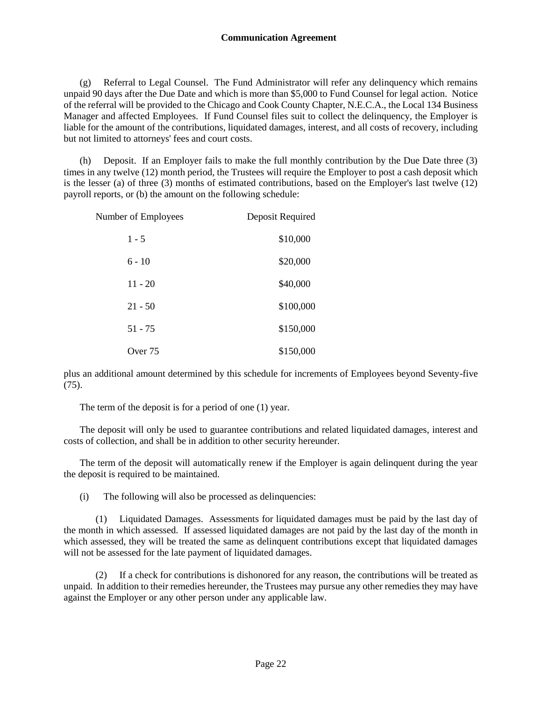(g) Referral to Legal Counsel. The Fund Administrator will refer any delinquency which remains unpaid 90 days after the Due Date and which is more than \$5,000 to Fund Counsel for legal action. Notice of the referral will be provided to the Chicago and Cook County Chapter, N.E.C.A., the Local 134 Business Manager and affected Employees. If Fund Counsel files suit to collect the delinquency, the Employer is liable for the amount of the contributions, liquidated damages, interest, and all costs of recovery, including but not limited to attorneys' fees and court costs.

(h) Deposit. If an Employer fails to make the full monthly contribution by the Due Date three (3) times in any twelve (12) month period, the Trustees will require the Employer to post a cash deposit which is the lesser (a) of three (3) months of estimated contributions, based on the Employer's last twelve (12) payroll reports, or (b) the amount on the following schedule:

| Number of Employees | Deposit Required |
|---------------------|------------------|
| $1 - 5$             | \$10,000         |
| $6 - 10$            | \$20,000         |
| $11 - 20$           | \$40,000         |
| $21 - 50$           | \$100,000        |
| $51 - 75$           | \$150,000        |
| Over 75             | \$150,000        |

plus an additional amount determined by this schedule for increments of Employees beyond Seventy-five (75).

The term of the deposit is for a period of one (1) year.

The deposit will only be used to guarantee contributions and related liquidated damages, interest and costs of collection, and shall be in addition to other security hereunder.

The term of the deposit will automatically renew if the Employer is again delinquent during the year the deposit is required to be maintained.

(i) The following will also be processed as delinquencies:

(1) Liquidated Damages. Assessments for liquidated damages must be paid by the last day of the month in which assessed. If assessed liquidated damages are not paid by the last day of the month in which assessed, they will be treated the same as delinquent contributions except that liquidated damages will not be assessed for the late payment of liquidated damages.

(2) If a check for contributions is dishonored for any reason, the contributions will be treated as unpaid. In addition to their remedies hereunder, the Trustees may pursue any other remedies they may have against the Employer or any other person under any applicable law.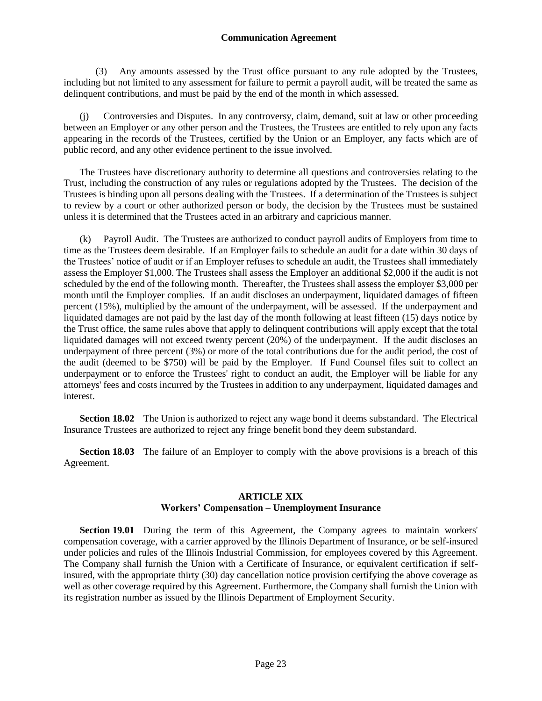(3) Any amounts assessed by the Trust office pursuant to any rule adopted by the Trustees, including but not limited to any assessment for failure to permit a payroll audit, will be treated the same as delinquent contributions, and must be paid by the end of the month in which assessed.

(j) Controversies and Disputes. In any controversy, claim, demand, suit at law or other proceeding between an Employer or any other person and the Trustees, the Trustees are entitled to rely upon any facts appearing in the records of the Trustees, certified by the Union or an Employer, any facts which are of public record, and any other evidence pertinent to the issue involved.

The Trustees have discretionary authority to determine all questions and controversies relating to the Trust, including the construction of any rules or regulations adopted by the Trustees. The decision of the Trustees is binding upon all persons dealing with the Trustees. If a determination of the Trustees is subject to review by a court or other authorized person or body, the decision by the Trustees must be sustained unless it is determined that the Trustees acted in an arbitrary and capricious manner.

(k) Payroll Audit. The Trustees are authorized to conduct payroll audits of Employers from time to time as the Trustees deem desirable. If an Employer fails to schedule an audit for a date within 30 days of the Trustees' notice of audit or if an Employer refuses to schedule an audit, the Trustees shall immediately assess the Employer \$1,000. The Trustees shall assess the Employer an additional \$2,000 if the audit is not scheduled by the end of the following month. Thereafter, the Trustees shall assess the employer \$3,000 per month until the Employer complies. If an audit discloses an underpayment, liquidated damages of fifteen percent (15%), multiplied by the amount of the underpayment, will be assessed. If the underpayment and liquidated damages are not paid by the last day of the month following at least fifteen (15) days notice by the Trust office, the same rules above that apply to delinquent contributions will apply except that the total liquidated damages will not exceed twenty percent (20%) of the underpayment. If the audit discloses an underpayment of three percent (3%) or more of the total contributions due for the audit period, the cost of the audit (deemed to be \$750) will be paid by the Employer. If Fund Counsel files suit to collect an underpayment or to enforce the Trustees' right to conduct an audit, the Employer will be liable for any attorneys' fees and costs incurred by the Trustees in addition to any underpayment, liquidated damages and interest.

**Section 18.02** The Union is authorized to reject any wage bond it deems substandard. The Electrical Insurance Trustees are authorized to reject any fringe benefit bond they deem substandard.

**Section 18.03** The failure of an Employer to comply with the above provisions is a breach of this Agreement.

#### **ARTICLE XIX Workers' Compensation – Unemployment Insurance**

<span id="page-27-1"></span><span id="page-27-0"></span>**Section 19.01** During the term of this Agreement, the Company agrees to maintain workers' compensation coverage, with a carrier approved by the Illinois Department of Insurance, or be self-insured under policies and rules of the Illinois Industrial Commission, for employees covered by this Agreement. The Company shall furnish the Union with a Certificate of Insurance, or equivalent certification if selfinsured, with the appropriate thirty (30) day cancellation notice provision certifying the above coverage as well as other coverage required by this Agreement. Furthermore, the Company shall furnish the Union with its registration number as issued by the Illinois Department of Employment Security.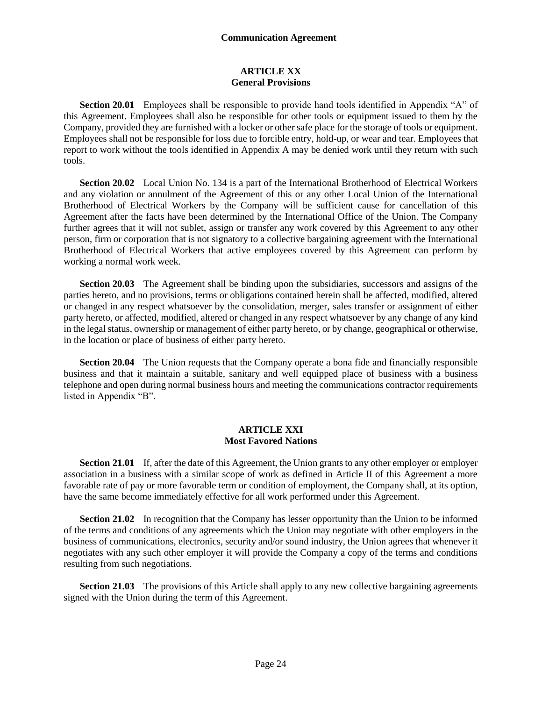### **ARTICLE XX General Provisions**

<span id="page-28-1"></span><span id="page-28-0"></span>**Section 20.01** Employees shall be responsible to provide hand tools identified in Appendix "A" of this Agreement. Employees shall also be responsible for other tools or equipment issued to them by the Company, provided they are furnished with a locker or other safe place for the storage of tools or equipment. Employees shall not be responsible for loss due to forcible entry, hold-up, or wear and tear. Employees that report to work without the tools identified in Appendix A may be denied work until they return with such tools.

**Section 20.02** Local Union No. 134 is a part of the International Brotherhood of Electrical Workers and any violation or annulment of the Agreement of this or any other Local Union of the International Brotherhood of Electrical Workers by the Company will be sufficient cause for cancellation of this Agreement after the facts have been determined by the International Office of the Union. The Company further agrees that it will not sublet, assign or transfer any work covered by this Agreement to any other person, firm or corporation that is not signatory to a collective bargaining agreement with the International Brotherhood of Electrical Workers that active employees covered by this Agreement can perform by working a normal work week.

**Section 20.03** The Agreement shall be binding upon the subsidiaries, successors and assigns of the parties hereto, and no provisions, terms or obligations contained herein shall be affected, modified, altered or changed in any respect whatsoever by the consolidation, merger, sales transfer or assignment of either party hereto, or affected, modified, altered or changed in any respect whatsoever by any change of any kind in the legal status, ownership or management of either party hereto, or by change, geographical or otherwise, in the location or place of business of either party hereto.

**Section 20.04** The Union requests that the Company operate a bona fide and financially responsible business and that it maintain a suitable, sanitary and well equipped place of business with a business telephone and open during normal business hours and meeting the communications contractor requirements listed in Appendix "B".

#### **ARTICLE XXI Most Favored Nations**

<span id="page-28-3"></span><span id="page-28-2"></span>**Section 21.01** If, after the date of this Agreement, the Union grants to any other employer or employer association in a business with a similar scope of work as defined in Article II of this Agreement a more favorable rate of pay or more favorable term or condition of employment, the Company shall, at its option, have the same become immediately effective for all work performed under this Agreement.

**Section 21.02** In recognition that the Company has lesser opportunity than the Union to be informed of the terms and conditions of any agreements which the Union may negotiate with other employers in the business of communications, electronics, security and/or sound industry, the Union agrees that whenever it negotiates with any such other employer it will provide the Company a copy of the terms and conditions resulting from such negotiations.

**Section 21.03** The provisions of this Article shall apply to any new collective bargaining agreements signed with the Union during the term of this Agreement.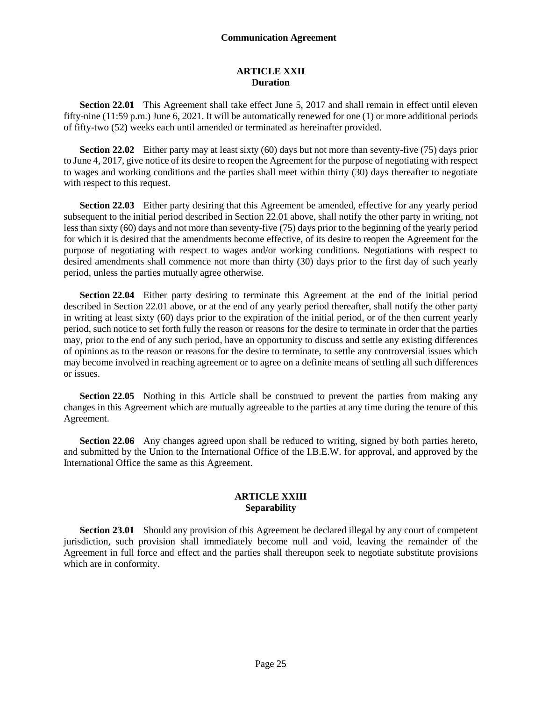#### **ARTICLE XXII Duration**

<span id="page-29-1"></span><span id="page-29-0"></span>**Section 22.01** This Agreement shall take effect June 5, 2017 and shall remain in effect until eleven fifty-nine (11:59 p.m.) June 6, 2021. It will be automatically renewed for one (1) or more additional periods of fifty-two (52) weeks each until amended or terminated as hereinafter provided.

**Section 22.02** Either party may at least sixty (60) days but not more than seventy-five (75) days prior to June 4, 2017, give notice of its desire to reopen the Agreement for the purpose of negotiating with respect to wages and working conditions and the parties shall meet within thirty (30) days thereafter to negotiate with respect to this request.

**Section 22.03** Either party desiring that this Agreement be amended, effective for any yearly period subsequent to the initial period described in Section 22.01 above, shall notify the other party in writing, not less than sixty (60) days and not more than seventy-five (75) days prior to the beginning of the yearly period for which it is desired that the amendments become effective, of its desire to reopen the Agreement for the purpose of negotiating with respect to wages and/or working conditions. Negotiations with respect to desired amendments shall commence not more than thirty (30) days prior to the first day of such yearly period, unless the parties mutually agree otherwise.

**Section 22.04** Either party desiring to terminate this Agreement at the end of the initial period described in Section 22.01 above, or at the end of any yearly period thereafter, shall notify the other party in writing at least sixty (60) days prior to the expiration of the initial period, or of the then current yearly period, such notice to set forth fully the reason or reasons for the desire to terminate in order that the parties may, prior to the end of any such period, have an opportunity to discuss and settle any existing differences of opinions as to the reason or reasons for the desire to terminate, to settle any controversial issues which may become involved in reaching agreement or to agree on a definite means of settling all such differences or issues.

**Section 22.05** Nothing in this Article shall be construed to prevent the parties from making any changes in this Agreement which are mutually agreeable to the parties at any time during the tenure of this Agreement.

**Section 22.06** Any changes agreed upon shall be reduced to writing, signed by both parties hereto, and submitted by the Union to the International Office of the I.B.E.W. for approval, and approved by the International Office the same as this Agreement.

### **ARTICLE XXIII Separability**

<span id="page-29-3"></span><span id="page-29-2"></span>**Section 23.01** Should any provision of this Agreement be declared illegal by any court of competent jurisdiction, such provision shall immediately become null and void, leaving the remainder of the Agreement in full force and effect and the parties shall thereupon seek to negotiate substitute provisions which are in conformity.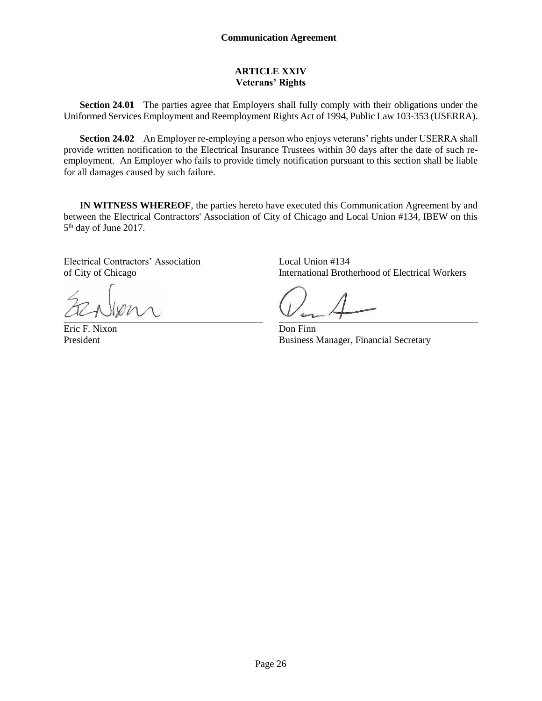#### **ARTICLE XXIV Veterans' Rights**

<span id="page-30-2"></span><span id="page-30-1"></span><span id="page-30-0"></span>**Section 24.01** The parties agree that Employers shall fully comply with their obligations under the Uniformed Services Employment and Reemployment Rights Act of 1994, Public Law 103-353 (USERRA).

**Section 24.02** An Employer re-employing a person who enjoys veterans' rights under USERRA shall provide written notification to the Electrical Insurance Trustees within 30 days after the date of such reemployment. An Employer who fails to provide timely notification pursuant to this section shall be liable for all damages caused by such failure.

**IN WITNESS WHEREOF**, the parties hereto have executed this Communication Agreement by and between the Electrical Contractors' Association of City of Chicago and Local Union #134, IBEW on this 5<sup>th</sup> day of June 2017.

Electrical Contractors' Association Local Union #134

Eric F. Nixon Don Finn

of City of Chicago International Brotherhood of Electrical Workers

President Business Manager, Financial Secretary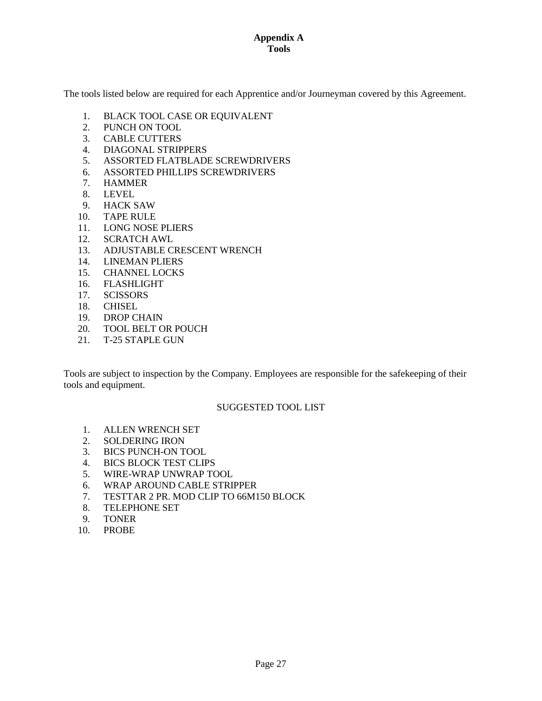#### **Appendix A Tools**

<span id="page-31-0"></span>The tools listed below are required for each Apprentice and/or Journeyman covered by this Agreement.

- 1. BLACK TOOL CASE OR EQUIVALENT
- 2. PUNCH ON TOOL
- 3. CABLE CUTTERS
- 4. DIAGONAL STRIPPERS
- 5. ASSORTED FLATBLADE SCREWDRIVERS
- 6. ASSORTED PHILLIPS SCREWDRIVERS
- 7. HAMMER
- 8. LEVEL
- 9. HACK SAW
- 10. TAPE RULE
- 11. LONG NOSE PLIERS
- 12. SCRATCH AWL
- 13. ADJUSTABLE CRESCENT WRENCH
- 14. LINEMAN PLIERS
- 15. CHANNEL LOCKS
- 16. FLASHLIGHT
- 17. SCISSORS
- 18. CHISEL
- 19. DROP CHAIN
- 20. TOOL BELT OR POUCH
- 21. T-25 STAPLE GUN

Tools are subject to inspection by the Company. Employees are responsible for the safekeeping of their tools and equipment.

#### SUGGESTED TOOL LIST

- 1. ALLEN WRENCH SET
- 2. SOLDERING IRON
- 3. BICS PUNCH-ON TOOL
- 4. BICS BLOCK TEST CLIPS
- 5. WIRE-WRAP UNWRAP TOOL
- 6. WRAP AROUND CABLE STRIPPER
- 7. TESTTAR 2 PR. MOD CLIP TO 66M150 BLOCK
- 8. TELEPHONE SET
- 9. TONER
- 10. PROBE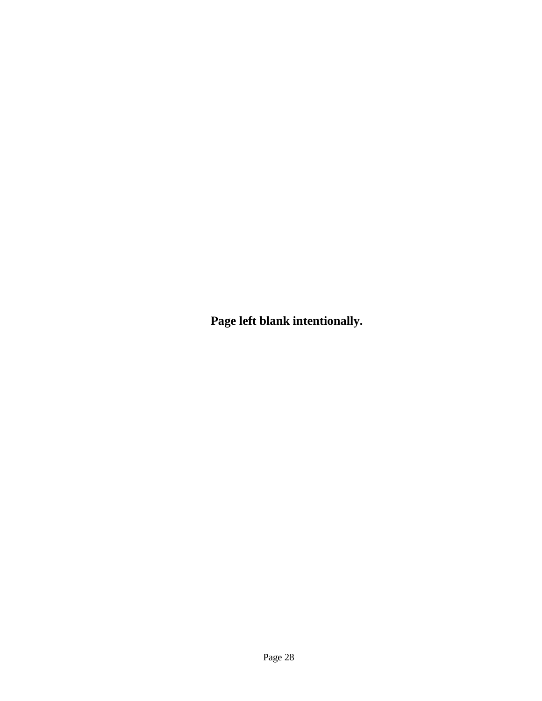**Page left blank intentionally.**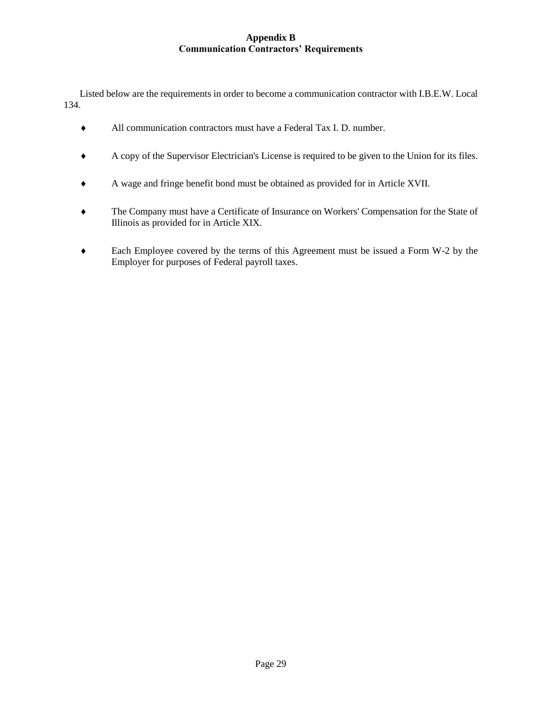### **Appendix B Communication Contractors' Requirements**

<span id="page-33-0"></span>Listed below are the requirements in order to become a communication contractor with I.B.E.W. Local 134.

- All communication contractors must have a Federal Tax I. D. number.
- A copy of the Supervisor Electrician's License is required to be given to the Union for its files.
- A wage and fringe benefit bond must be obtained as provided for in Article XVII.
- The Company must have a Certificate of Insurance on Workers' Compensation for the State of Illinois as provided for in Article XIX.
- Each Employee covered by the terms of this Agreement must be issued a Form W-2 by the Employer for purposes of Federal payroll taxes.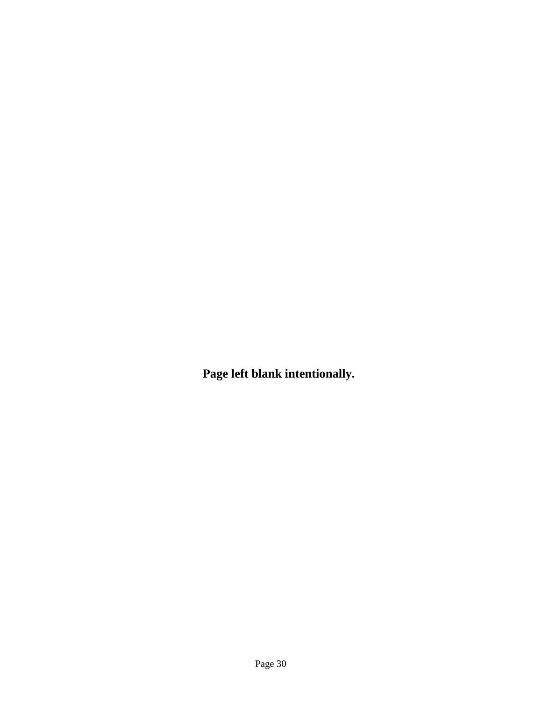**Page left blank intentionally.**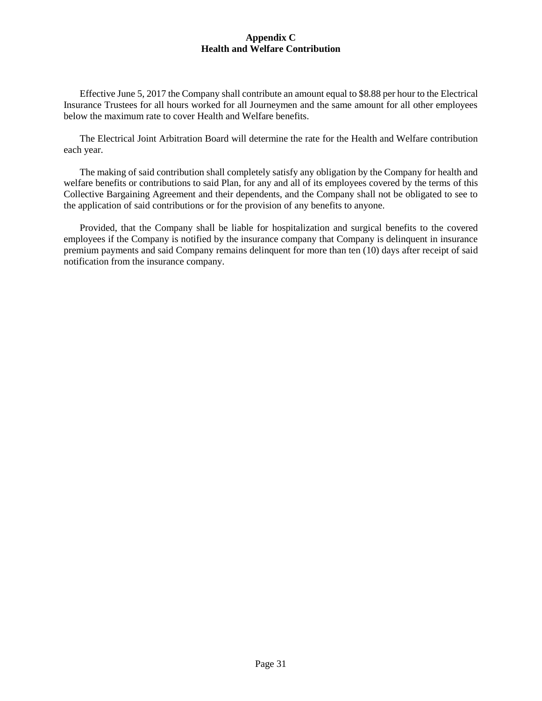#### **Appendix C Health and Welfare Contribution**

<span id="page-35-0"></span>Effective June 5, 2017 the Company shall contribute an amount equal to \$8.88 per hour to the Electrical Insurance Trustees for all hours worked for all Journeymen and the same amount for all other employees below the maximum rate to cover Health and Welfare benefits.

The Electrical Joint Arbitration Board will determine the rate for the Health and Welfare contribution each year.

The making of said contribution shall completely satisfy any obligation by the Company for health and welfare benefits or contributions to said Plan, for any and all of its employees covered by the terms of this Collective Bargaining Agreement and their dependents, and the Company shall not be obligated to see to the application of said contributions or for the provision of any benefits to anyone.

Provided, that the Company shall be liable for hospitalization and surgical benefits to the covered employees if the Company is notified by the insurance company that Company is delinquent in insurance premium payments and said Company remains delinquent for more than ten (10) days after receipt of said notification from the insurance company.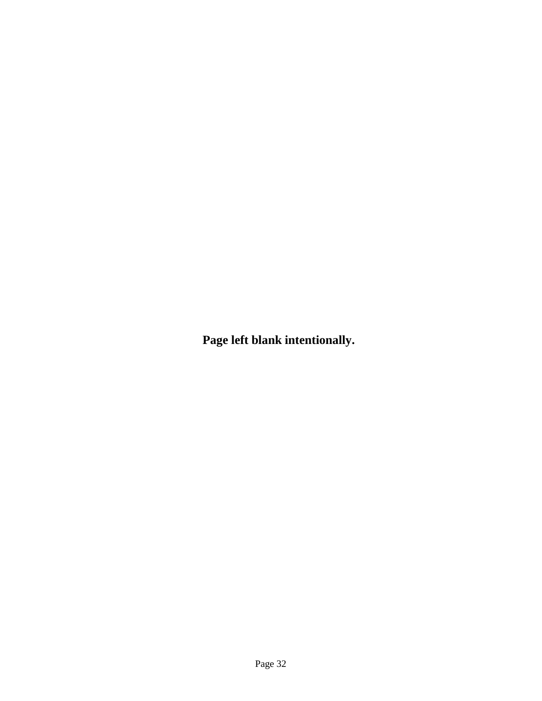**Page left blank intentionally.**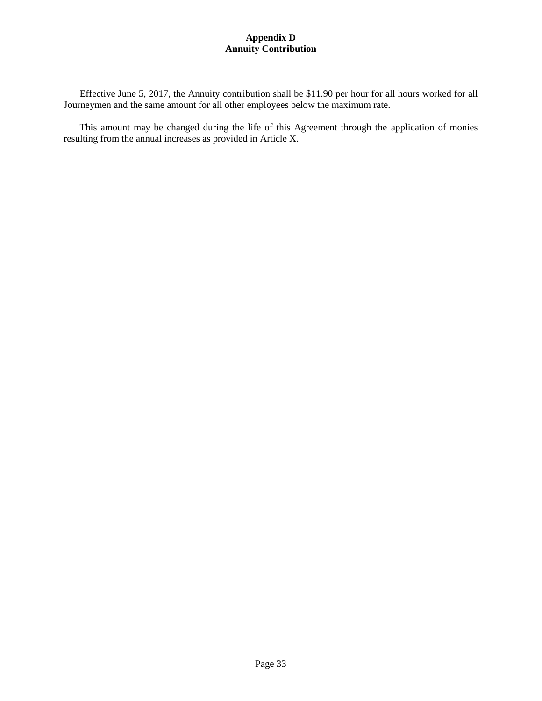#### **Appendix D Annuity Contribution**

<span id="page-37-0"></span>Effective June 5, 2017, the Annuity contribution shall be \$11.90 per hour for all hours worked for all Journeymen and the same amount for all other employees below the maximum rate.

This amount may be changed during the life of this Agreement through the application of monies resulting from the annual increases as provided in Article X.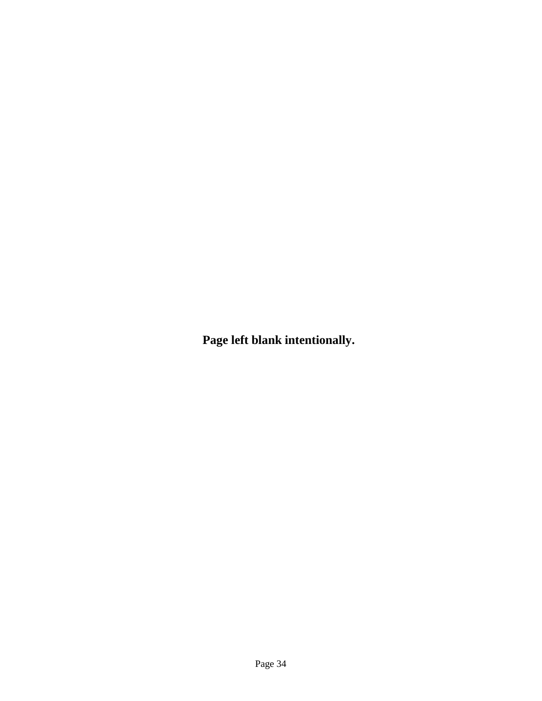**Page left blank intentionally.**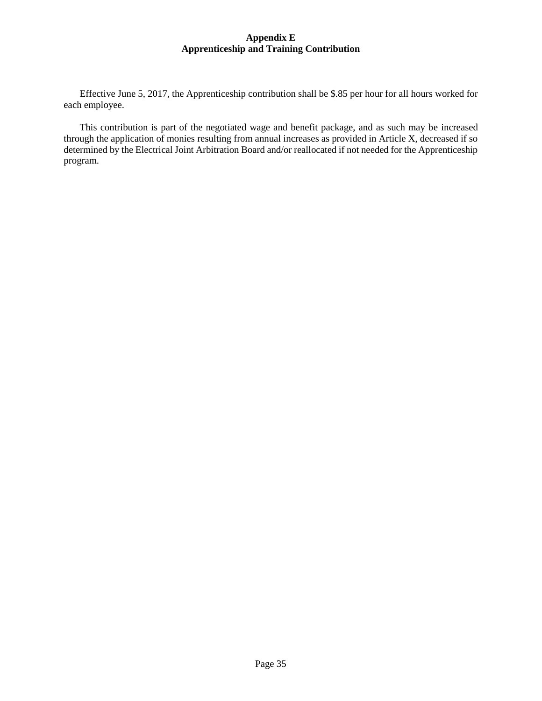#### **Appendix E Apprenticeship and Training Contribution**

<span id="page-39-0"></span>Effective June 5, 2017, the Apprenticeship contribution shall be \$.85 per hour for all hours worked for each employee.

This contribution is part of the negotiated wage and benefit package, and as such may be increased through the application of monies resulting from annual increases as provided in Article X, decreased if so determined by the Electrical Joint Arbitration Board and/or reallocated if not needed for the Apprenticeship program.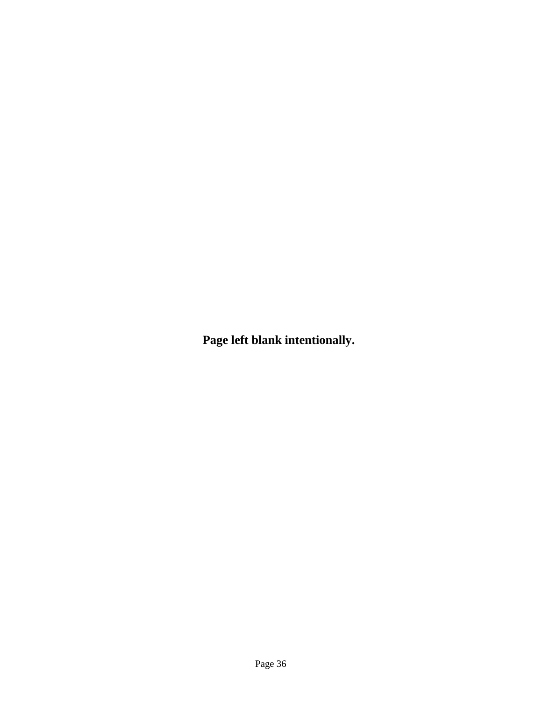**Page left blank intentionally.**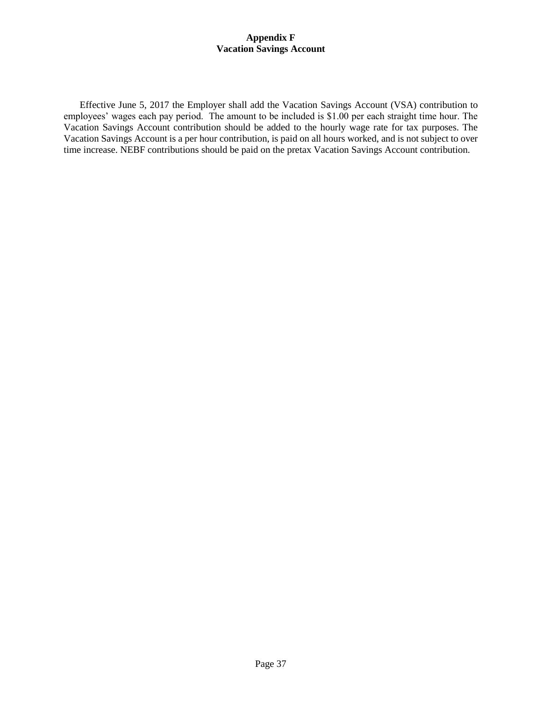#### **Appendix F Vacation Savings Account**

<span id="page-41-0"></span>Effective June 5, 2017 the Employer shall add the Vacation Savings Account (VSA) contribution to employees' wages each pay period. The amount to be included is \$1.00 per each straight time hour. The Vacation Savings Account contribution should be added to the hourly wage rate for tax purposes. The Vacation Savings Account is a per hour contribution, is paid on all hours worked, and is not subject to over time increase. NEBF contributions should be paid on the pretax Vacation Savings Account contribution.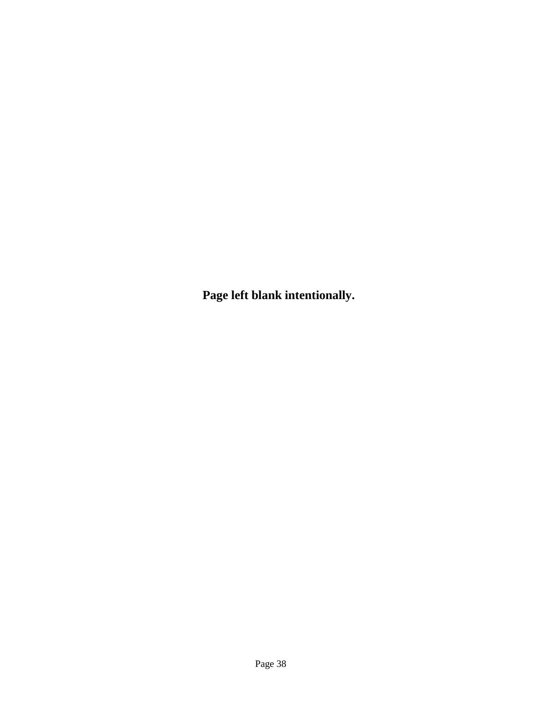**Page left blank intentionally.**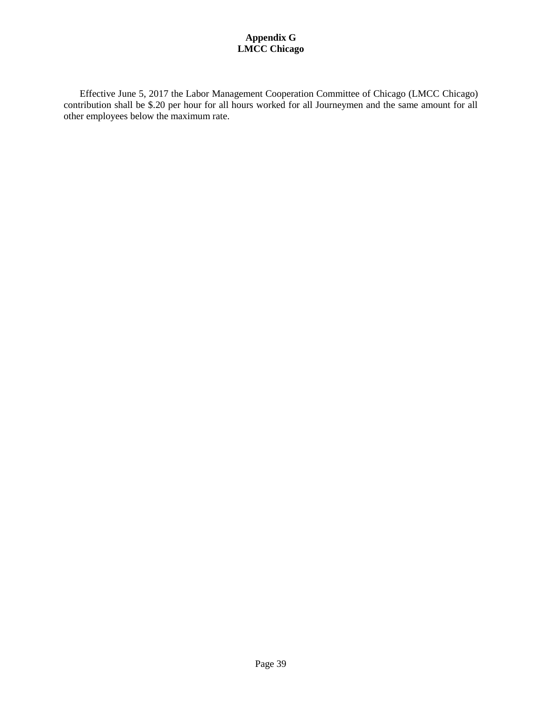### **Appendix G LMCC Chicago**

<span id="page-43-0"></span>Effective June 5, 2017 the Labor Management Cooperation Committee of Chicago (LMCC Chicago) contribution shall be \$.20 per hour for all hours worked for all Journeymen and the same amount for all other employees below the maximum rate.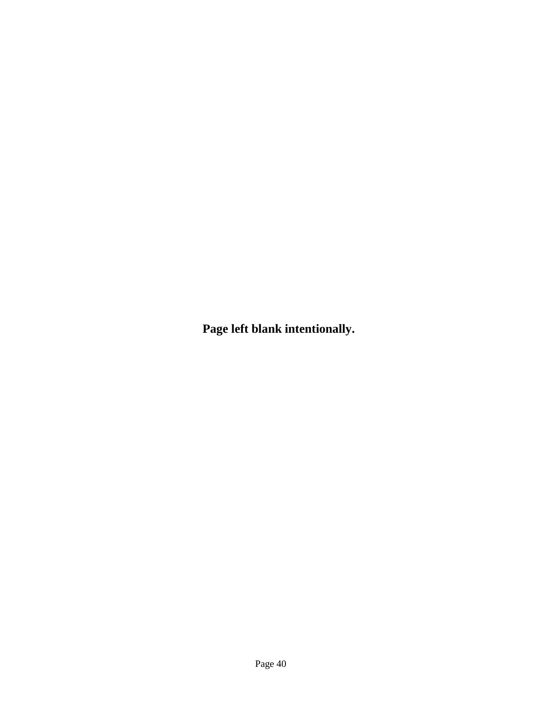**Page left blank intentionally.**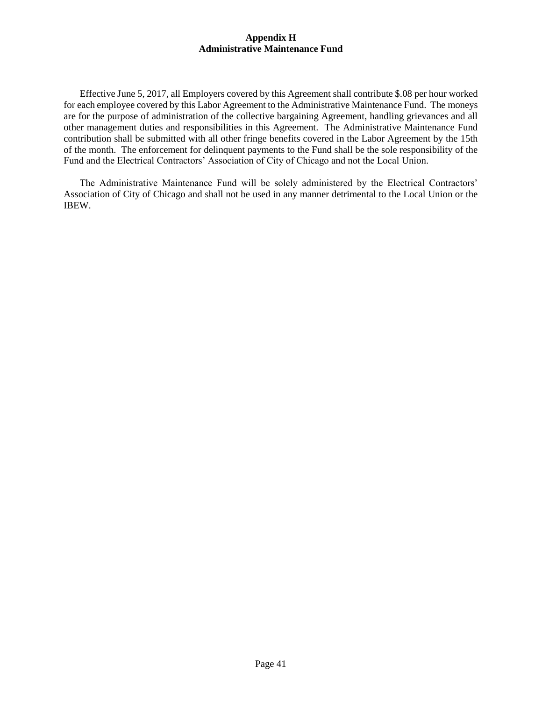#### **Appendix H Administrative Maintenance Fund**

<span id="page-45-0"></span>Effective June 5, 2017, all Employers covered by this Agreement shall contribute \$.08 per hour worked for each employee covered by this Labor Agreement to the Administrative Maintenance Fund. The moneys are for the purpose of administration of the collective bargaining Agreement, handling grievances and all other management duties and responsibilities in this Agreement. The Administrative Maintenance Fund contribution shall be submitted with all other fringe benefits covered in the Labor Agreement by the 15th of the month. The enforcement for delinquent payments to the Fund shall be the sole responsibility of the Fund and the Electrical Contractors' Association of City of Chicago and not the Local Union.

The Administrative Maintenance Fund will be solely administered by the Electrical Contractors' Association of City of Chicago and shall not be used in any manner detrimental to the Local Union or the IBEW.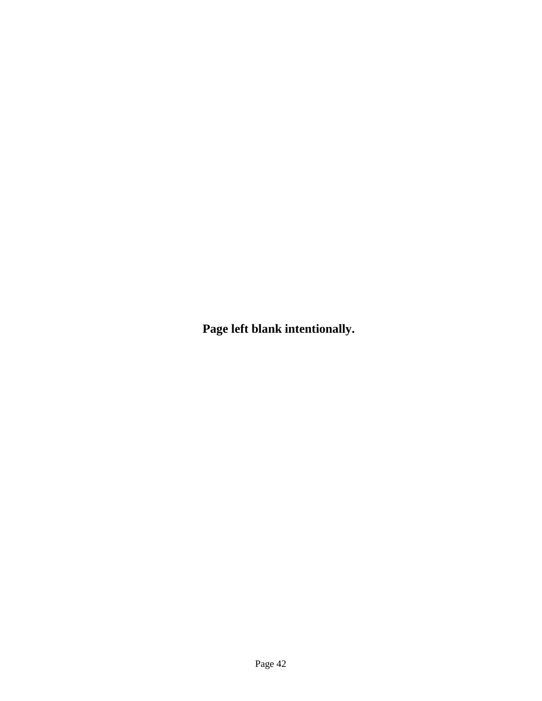**Page left blank intentionally.**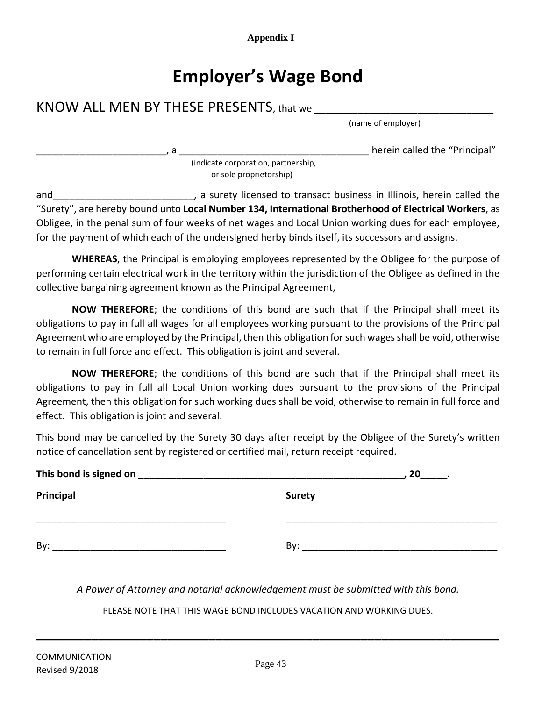**Appendix I**

# **Employer's Wage Bond**

<span id="page-47-0"></span>

|  | <b>KNOW ALL MEN BY THESE PRESENTS, that we</b> |  |
|--|------------------------------------------------|--|
|--|------------------------------------------------|--|

(name of employer)

a understanding the state of the state of the "Principal" and the "Principal"

 (indicate corporation, partnership, or sole proprietorship)

and and the surety licensed to transact business in Illinois, herein called the "Surety", are hereby bound unto **Local Number 134, International Brotherhood of Electrical Workers**, as Obligee, in the penal sum of four weeks of net wages and Local Union working dues for each employee, for the payment of which each of the undersigned herby binds itself, its successors and assigns.

**WHEREAS**, the Principal is employing employees represented by the Obligee for the purpose of performing certain electrical work in the territory within the jurisdiction of the Obligee as defined in the collective bargaining agreement known as the Principal Agreement,

**NOW THEREFORE**; the conditions of this bond are such that if the Principal shall meet its obligations to pay in full all wages for all employees working pursuant to the provisions of the Principal Agreement who are employed by the Principal, then this obligation for such wages shall be void, otherwise to remain in full force and effect. This obligation is joint and several.

**NOW THEREFORE**; the conditions of this bond are such that if the Principal shall meet its obligations to pay in full all Local Union working dues pursuant to the provisions of the Principal Agreement, then this obligation for such working dues shall be void, otherwise to remain in full force and effect. This obligation is joint and several.

This bond may be cancelled by the Surety 30 days after receipt by the Obligee of the Surety's written notice of cancellation sent by registered or certified mail, return receipt required.

| 20            |  |
|---------------|--|
| <b>Surety</b> |  |
|               |  |
|               |  |

*A Power of Attorney and notarial acknowledgement must be submitted with this bond.*

PLEASE NOTE THAT THIS WAGE BOND INCLUDES VACATION AND WORKING DUES.

**\_\_\_\_\_\_\_\_\_\_\_\_\_\_\_\_\_\_\_\_\_\_\_\_\_\_\_\_\_\_\_\_\_\_\_\_\_\_\_\_\_\_\_\_\_\_\_\_\_\_\_\_\_\_\_\_\_\_\_\_\_\_\_\_\_\_\_**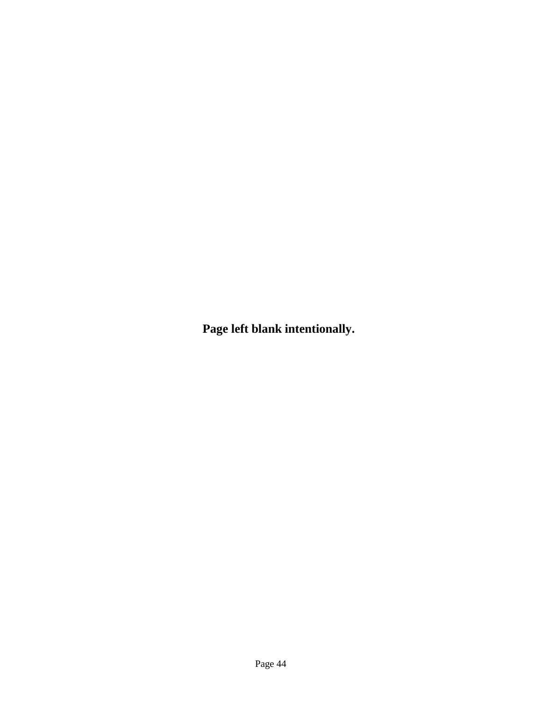**Page left blank intentionally.**